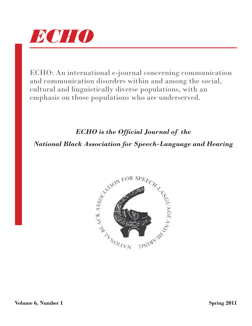

ECHO: An international e-journal concerning communication and communication disorders within and among the social, cultural and linguistically diverse populations, with an emphasis on those populations who are underserved.

## *ECHO is the Official Journal of the*

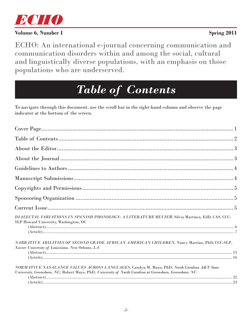

ECHO: An international e-journal concerning communication and communication disorders within and among the social, cultural and linguistically diverse populations, with an emphasis on those populations who are underserved.

# *Table of Contents*

To navigate through this document, use the scroll bar in the right-hand column and observe the page indicator at the bottom of the screen.

| DIALECTAL VARIATIONS IN SPANISH PHONOLOGY: A LITERATURE REVIEW, Silvia Martinez, EdD, CAS, CCC-<br>SLP Howard University, Washington, DC                                                                |  |
|---------------------------------------------------------------------------------------------------------------------------------------------------------------------------------------------------------|--|
|                                                                                                                                                                                                         |  |
| NARRATIVE ABILITIES OF SECOND GRADE AFRICAN AMERICAN CHILDREN, Nancy Martino, PhD, CCC-SLP,<br>Xavier University of Louisiana, New Orleans, LA                                                          |  |
|                                                                                                                                                                                                         |  |
| NORMATIVE NASALANCE VALUES ACROSS LANGUAGES, Carolyn M. Mayo, PhD, North Carolina A&T State<br>University, Greensboro, NC; Robert Mayo, PhD, University of North Carolina at Greensboro, Greensboro, NC |  |
|                                                                                                                                                                                                         |  |
|                                                                                                                                                                                                         |  |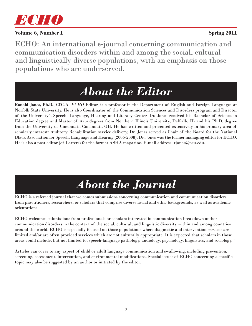

ECHO: An international e-journal concerning communication and communication disorders within and among the social, cultural and linguistically diverse populations, with an emphasis on those populations who are underserved.

## *About the Editor*

**Ronald Jones, Ph.D., CCC-A**, *ECHO* Editor, is a professor in the Department of English and Foreign Languages at Norfolk State University. He is also Coordinator of the Communication Sciences and Disorders program and Director of the University's Speech, Language, Hearing and Literacy Center. Dr. Jones received his Bachelor of Science in Education degree and Master of Arts degrees from Northern Illinois University, DeKalb, IL and his Ph.D. degree from the University of Cincinnati, Cincinnati, OH. He has written and presented extensively in his primary area of scholarly interest: Auditory Rehabilitation service delivery, Dr. Jones served as Chair of the Board for the National Black Association for Speech, Language and Hearing (2006-2008). Dr. Jones was the former managing editor for ECHO. He is also a past editor (of Letters) for the former ASHA magazine. E-mail address: rjones@nsu.edu.

## *About the Journal*

ECHO is a refereed journal that welcomes submissions concerning communication and communication disorders from practitioners, researchers, or scholars that comprise diverse racial and ethic backgrounds, as well as academic orientations.

ECHO welcomes submissions from professionals or scholars interested in communication breakdown and/or communication disorders in the context of the social, cultural, and linguistic diversity within and among countries around the world. ECHO is especially focused on those populations where diagnostic and intervention services are limited and/or are often provided services which are not culturally appropriate. It is expected that scholars in those areas could include, but not limited to, speech-language pathology, audiology, psychology, linguistics, and sociology."

Articles can cover to any aspect of child or adult language communication and swallowing, including prevention, screening, assessment, intervention, and environmental modifications. Special issues of ECHO concerning a specific topic may also be suggested by an author or initiated by the editor.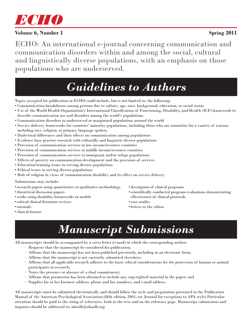

ECHO: An international e-journal concerning communication and communication disorders within and among the social, cultural and linguistically diverse populations, with an emphasis on those populations who are underserved.

## *Guidelines to Authors*

Topics accepted for publication in ECHO could include, but is not limited to, the following:

- Communication breakdowns among persons due to culture, age, race, background, education, or social status
- Use of the World Health Organization's International Classification of Functioning, Disability, and Health (ICF) framework to describe communication use and disorders among the world's populations.
- Communication disorders in underserved or marginized populations around the world
- Service delivery frameworks for countries' minority populations, including those who are minorities for a variety of reasons including race, religion, or primary language spoken.
- Dialectical differences and their effects on communication among populations
- Evidence base practice research with culturally and linguistic diverse populations
- Provision of communication services in low income/resource countries
- Provision of communication services in middle income/resource countries
- Provision of communication services to immigrant and/or refuge populations
- Effects of poverty on communication development and the provision of services
- Education/training issues in serving diverse populations
- Ethical issues in serving diverse populations
- Role of religion in views of communication disability and its effect on service delivery

#### Submissions may include:

- research papers using quantitative or qualitative methodology
- theoretical discussion papers
- works using disability frameworks or models
- critical clinical literature reviews
- tutorials
- clinical forums
- description of clinical programs
- scientifically conducted program evaluations demonstrating effectiveness of clinical protocols
- case studies
- letters to the editor.

## *Manuscript Submissions*

All manuscripts should be accompanied by a cover letter (e-mail) in which the corresponding author:

- · Requests that the manuscript be considered for publication;
- · Affirms that the manuscript has not been published previously, including in an electronic form;
- · Affirms that the manuscript is not currently submitted elsewhere;
- · Affirms that all applicable research adheres to the basic ethical considerations for the protection of human or animal participants in research;
- · Notes the presence or absence of a dual commitment;
- · Affirms that permission has been obtained to include any copyrighted material in the paper; and
- Supplies his or her business address, phone and fax numbers, and e-mail address.

All manuscripts must be submitted electronically and should follow the style and preparation presented in the Publication Manual of the American Psychological Association (fifth edition, 2001; see Journal for exceptions to APA style) Particular attention should be paid to the citing of references, both in the text and on the reference page. Manuscript submissions and inquiries should be addressed to: nbaslh@nbaslh.org.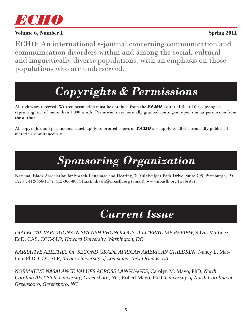

ECHO: An international e-journal concerning communication and communication disorders within and among the social, cultural and linguistically diverse populations, with an emphasis on those populations who are underserved.

# *Copyrights & Permissions*

All rights are reserved. Written permission must be obtained from the *ECHO* Editorial Board for copying or reprinting text of more than 1,000 words. Permissions are normally granted contingent upon similar permission from the author.

All copyrights and permissions which apply to printed copies of *ECHO* also apply to all electronically published materials simultaneously.

# *Sponsoring Organization*

National Black Association for Speech-Language and Hearing, 700 McKnight Park Drive, Suite 708, Pittsburgh, PA 15237, 412-366-1177, 412-366-8804 (fax), nbaslh@nbaslh.org (email), www.nbaslh.org (website)

## *Current Issue*

*DIALECTAL VARIATIONS IN SPANISH PHONOLOGY: A LITERATURE REVIEW,* Silvia Martinez, EdD, CAS, CCC-SLP*, Howard University, Washington, DC*

*NARRATIVE ABILITIES OF SECOND GRADE AFRICAN AMERICAN CHILDREN,* Nancy L. Martino, PhD, CCC-SLP*, Xavier University of Louisiana, New Orleans, LA*

*NORMATIVE NASALANCE VALUES ACROSS LANGUAGES,* Carolyn M. Mayo, PhD*, North Carolina A&T State University, Greensboro, NC;* Robert Mayo, PhD*, University of North Carolina at Greensboro, Greensboro, NC*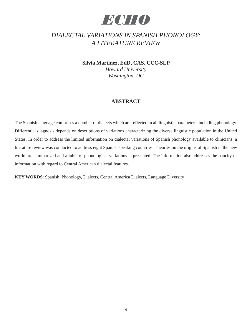## *ECHO*

### *DIALECTAL VARIATIONS IN SPANISH PHONOLOGY: A LITERATURE REVIEW*

**Silvia Martinez, EdD, CAS, CCC-SLP**

*Howard University Washington, DC*

### **ABSTRACT**

The Spanish language comprises a number of dialects which are reflected in all linguistic parameters, including phonology. Differential diagnosis depends on descriptions of variations characterizing the diverse linguistic population in the United States. In order to address the limited information on dialectal variations of Spanish phonology available to clinicians, a literature review was conducted to address eight Spanish speaking countries. Theories on the origins of Spanish in the new world are summarized and a table of phonological variations is presented. The information also addresses the paucity of information with regard to Central American dialectal features.

**KEY WORDS**: Spanish, Phonology, Dialects, Central America Dialects, Language Diversity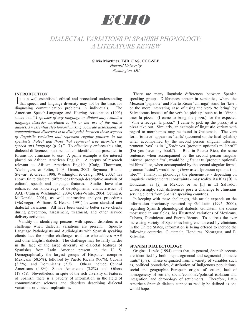## *ECHO*

### *DIALECTAL VARIATIONS IN SPANISH PHONOLOGY: A LITERATURE REVIEW*

**Silvia Martinez, EdD, CAS, CCC-SLP**  *Howard University Washington, DC* 

#### **INTRODUCTION**

t is a well established ethical and procedural understanding It is a well established ethical and procedural understanding that speech and language diversity may not be the basis for diagnosing communication problems in individuals. The American Speech-Language and Hearing Association (1993) states that "*A speaker of any language or dialect may exhibit a*  language disorder unrelated to his or her use of the native *dialect. An essential step toward making accurate assessments of communication disorders is to distinguish between those aspects of linguistic variation that represent regular patterns in the speaker's dialect and those that represent true disorders in speech and language* (p. 2)." To effectively enforce this aim, dialectal differences must be studied, identified and presented in forums for clinicians to use. A prime example is the interest placed on African American English. A corpus of research relevant to African American English (Craig, Thompson, Washington, & Potter, 2003; Green, 2002; Seymour, Bland-Stewart, & Green, 1998; Washington & Craig, 1994, 2002) has shown finite dialectal differences through descriptive analysis of cultural, speech and language features. Studies have also enhanced our knowledge of developmental characteristics of AAE (Craig & Washington, 2004; Coles-White, 2004; Oeting & McDonald, 2001), as well contrastive analysis procedures (McGregor, Williams & Hearst, 1991) between standard and dialectal variations. All have been used to better serve clients during prevention, assessment, treatment, and other service delivery activities.

Validity in identifying persons with speech disorders is a challenge when dialectal variations are present. Speech-Language Pathologists and Audiologists with Spanish speaking clients face the similar challenges as those who address AAE and other English dialects. The challenge may be fairly harder in the face of the large diversity of dialectal features of Spanishes from Latin America present in the U. S. Demographically the largest groups of Hispanics comprise Mexicans (58.5%), followed by Puerto Ricans (9.6%), Cubans (3.5%), and Dominicans (2.2). Others include Central Americans (4.8%), South Americans (3.8%) and Others (17.8%). Nevertheless, in spite of the rich diversity of features of Spanish, there is a paucity of information in the field of communication sciences and disorders describing dialectal variations or clinical implications.

 There are many linguistic differences between Spanish speaking groups. Differences appear in semantics, where the Mexican 'papalote' and Puerto Rican 'chiringa' stand for 'kite', or the more interesting case of using the verb 'to bring' by Salvadorans instead of the verb 'to pick up' such as in "Vine a traer la pizza." (I came to bring the pizza.) for the expected "Vine a recoger la pizza." (I came to pick up the pizza.) at a pizza take out. Similarly, an example of linguistic variety with regard to morphemes may be found in Guatemala. The verb form 'to have' appears as 'tenés' (accented on the final syllable) when accompanied by the second person singular informal pronoun 'vos' as in "¿*Tenés* vos (pronoun optional) mi libro?" (Do you have my book?). But, in Puerto Rico, the same sentence, when accompanied by the second person singular informal pronoun "tu", would be "¿*Tienes* tu (pronoun optional) mi libro?", or, when accompanied by the second singular formal pronoun "usted", would be "¿*Tiene* usted (pronoun optional) mi libro?" Finally, in phonology the phoneme /s/ - depending on linguistic environmental constraints - may realize itself as  $[\theta]$  in Honduras, as  $\iiint$  in Mexico, or as  $[h]$  in El Salvador. Unsurprisingly, such differences pose a challenge to clinicians serving clients from Spanish speaking countries.

In keeping with these challenges, this article expands on the information previously reported by Goldstein (1995, 2000), regarding Spanish phonological dialects. Goldstein, the source most used in our fields, has illustrated variations of Mexicans, Cubans, Dominicans and Puerto Ricans. To address the ever increasing variety of Spanishes being encountered by clinicians in the United States, information is being offered to include the following countries: Guatemala, Honduras, Nicaragua, and El Salvador.

#### **SPANISH DIALECTOLOGY**

 Origins. Lipski (1994) states that, in general, Spanish accents are identified by both "suprasegmental and segmental phonetic traits" (p.9). These originated from a variety of variables such as, political boundaries, distribution of indigenous populations, social and geographic European origins of settlers, lack of homogeneity of settlers, social/economic/political isolation and integration, and chronology of settlements. Therefore, Latin American Spanish dialects cannot so readily be defined as one would hope.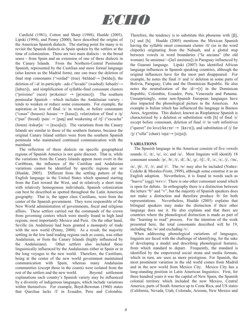

 Canfield (1981), Cotton and Sharp (1988), Hualde (2005), Lipski (1994), and Penny (2000), have described the origins of the American Spanish dialects. The starting point for many is to revisit the Spanish dialects in Spain spoken by the settlers at the time of colonization. There are two main dialects - in the broad sense - from Spain and an extension of one of these dialects in the Canary Islands. From the Northern-Central Peninsular Spanish, represented by the Castilian and more formal language (also known as the Madrid form), one can trace the deletion of final stop consonants ("verdad" (true) /bɛldɑd/ $\rightarrow$  [bɛldɑ]), the deletion of  $/-d/$  in participle –ado ("lavado" (washed) /labado/ $\rightarrow$ [labao]), and simplification of syllable-final consonant clusters ("próximo" (next) /proksimo/  $\rightarrow$  [prosimo]). The southern peninsular Spanish – which includes the Andalusian variety tends to weaken or reduce some consonants. For example, the aspiration or loss of final /s/ in words, or before consonants ("casas" (houses) /kasas/  $\rightarrow$  [kasa]), velarization of final n /n/ ("pan" (bread) /pan/  $\rightarrow$  [pan] and weakening of /tʃ/ ("escucha" (listen) / $\epsilon$ skut $\int a$   $\rightarrow$  [ $\epsilon$ scu $\int a$ ]). The variations from the Canary Islands are similar to those of the southern features, because the original Canary Island settlers were from the southern Spanish peninsula who maintained continued communication with the mainland.

 The reflection of these dialects on specific geographical regions of Spanish America is not quite discreet. That is, while the variations from the Canary Islands appear more overt in the Caribbean, the influence of the Castilian and Andalusian variations cannot be identified by specific regions per se (Hualde, 2005). Different from the settling pattern of the English language in the United States which spanned starting from the East toward the West, and in relatively a short time with relatively homogenous individuals, Spanish colonization can best be described as spotted throughout the Latin American geography. That is, the upper class Castilians, were from the center of the Spanish government. They were responsible of the New World administration of governments, fiscal and religious affairs. These settlers carried out the commands of the crown from governing centers which were mostly found in high land regions, most importantly Mexico and Peru. On the other hand, Seville (in Andalusia) had been granted a monopoly of trade with the new world (Penny, 2000). As a result, the majority settling in the low land trading regions such as coasts, was either Andalusian, or from the Canary Islands (highly influenced by the Andalusians). Other settlers also included those linguistically influenced by the Andalusians either in Spain or in the long voyages to the new world. Therefore, the Castilians, being at the center of the new world government maintained communication with Spain, whereas many Andalusian communities (except those in the coasts) were isolated from the rest of the settlers and the new world. Beyond settlement explanations each country's Spanish variety may be influenced by a diversity of indigenous languages, which include variations within themselves. For example, Boyd-Bowman (1960) states that Quechua lacks /f/ in Ecuador, Peru and Colombia.

Therefore, the tendency is to substitute this phoneme with  $[ $\beta$ ],$ [x] and [h]. Hualde (2005) mentions the Mexican Spanish having the syllable onset consonant cluster /tl/ (as in the word chipotle) originating from the Nahualt, and a glottal stop between vowels in word boundaries ("la anciana" (the old woman) /la ansiana/ $\rightarrow$ [la<sup>5</sup> ansiana]) in Paraguay influenced by the Guarani language. Lipski (2007) has identified African language influences in Spanish speaking countries, although the original influences have for the most part disappeared. For example, he notes the final /r/ and /s/ deletion in some parts of Bolivia, Paraguay, Cuba and the Dominican Republic. He also notes the neutralization of the  $/d/\rightarrow [r]$  in the Dominican Republic, Colombia, Ecuador, Peru, Venezuela and Panama. Unsurprisingly, some non-Spanish European languages have also impacted the phonological picture in the Americas. An example is Italian which has influenced the language in Buenos Aires, Argentina. This dialect, known as Rioplantese Spanish is characterized by a deletion or substitution with [h] of final /s/ except before consonant, deletion of final /r/ in verb infinitives ("querer" (to love)/ $\ker$  $\epsilon$ r $\leftrightarrow$  [ $\ker$  $\epsilon$ ]), and substitution of /j/ for  $\frac{1}{3}$  ("silla" (chair)  $\frac{1}{\sqrt{3}}$  [sizq]).

#### **VARIATIONS**

 The Spanish language in the Americas consists of five vowels sounds  $/i/$ ,  $/\varepsilon/$ ,  $/u/$ ,  $/\upsilon/$ , and  $/\alpha/$ . Most linguists will identify 18 consonant sounds:  $/p/$ ,  $/b/$ ,  $/t/$ ,  $/d/$ ,  $/k/$ ,  $/g/$ ,  $/t/$ ,  $/f/$ ,  $/s/$ ,  $/x/$ ,  $/j/$ ,  $/lm/$ ,

 $/n/$ ,  $/N$ ,  $/N$ ,  $/r/$ , and  $/r/$ . The  $/w/$  may also be included (Nuñez-Cedeño & Morales-Front, 1999), although some construe it as an English adoption. Nevertheless, it is found in words such as "huevo" (egg) /wɛvɔ/. There is one other consonant sound which is open for debate. In orthography there is a distinction between the letters "b" and "v", but the majority of Spanish speakers does not make a distinction and therefore produce /b/ for both representations. Nevertheless, Hualde (2005) explains that bilingual speakers may make the distinction if their other language does use it. He also explains and that there are countries where the phonological distinction is made as part of the "learning to read" process. For the intention of the work presented here, the total consonants described will be 19, including the /w/ and excluding /v/.

 When addressing phonological variations of languages, linguists are faced with the challenge of identifying, for the sake of developing a model and describing phonological features, from which standard to depart. Frequently, the standard is identified by the empowered social strata and media formats, which in turn, are seen as more prestigious. For Spanish, the most prominent variation in the old world comes from Madrid and in the new world from Mexico City. Mexico City has a long-standing position in Latin American linguistics. First, for three hundred years it was the capital of New Spain, the Spanish colonial territory which included the now Mexico, Central America, parts of South America up to Costa Rica, and US states (California, Nevada, Utah, Colorado, Arizona, New Mexico and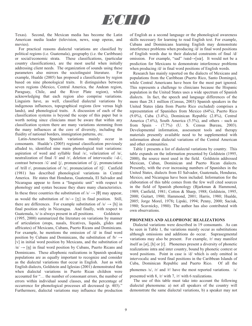

Texas). Second, the Mexican media has become the Latin American media leader (television, news, soap operas, and movies).

For practical reasons dialectal variations are classified by political regions (i.e. Guatemala), geography (i.e. the Caribbean) or social/economic strata. These classifications, (particular country classifications), are the most useful when initially addressing client needs. The organization of sounds using these parameters also mirrors the sociolinguist literature. For example, Hualde (2005) has proposed a classification by region based on nine phonological traits. It distinguishes between seven regions (Mexico, Central America, the Andean region, Paraguay, Chile, and the River Plate region), while acknowledging that each region also comprise variations. Linguists have, as well, classified dialectal variations by indigenous influences, topographical regions (low versus high lands), and phonological traits. A discussion of each of the classification systems is beyond the scope of this paper but is worth noting since clinicians must be aware that within any classification system there are many variations stemming from the many influences at the core of diversity, including the fluidity of national borders, immigration patterns, etc.

 Latin-American Spanish variations mainly occur in consonants. Hualde's (2005) regional classification previously alluded to, identified nine main phonological trait variations: aspiration of word and syllable final /s/, velarization of /n/, neutralization of final /l/ and /r/, deletion of intervocalic /-d-/, contrast between  $/\lambda$  and  $/\lambda$ , pronunciation of  $/\lambda$ , pronunciation of /trill r/, pronunciation of /x/, pronunciation of /t $\int$ /. Canfield (1981) has described phonological variations in Central America. He states that Honduras, Guatemala, El Salvador and Nicaragua appear to form a "linguistic unit" with respect to phonology and syntax because they share many characteristics. In these three countries the substitution of  $/s \rightarrow \theta$  may appear, as would the substitution of  $/n \rightarrow \lceil n \rceil$  in final position. Still, there are differences. For example substitution of  $\sqrt{s'} \rightarrow \sqrt{h}$  in final position only in Nicaragua. And finally, with respect to Guatemala,  $/s/$  is always present in all positions. Goldstein (1995, 2000) summarized the literature on variations by manner of articulation (stops, nasals, fricatives, liquids, glides and affricates) of Mexicans, Cubans, Puerto Ricans and Dominicans. For example, he mentions the omission of /d/ in final word position by Cubans and Dominicans, the substitution of  $/b \rightarrow$ [v] in initial word position by Mexicans, and the substitution of  $/n \rightarrow [n]$  in final word position by Cubans, Puerto Ricans and Dominicans. These allophonic realizations in Spanish speaking populations are as equally important to recognize and consider as the dialectal variations that occur in English. Just as with English dialects, Goldstein and Iglesias (2001) demonstrated that when dialectal variations in Puerto Rican children were accounted for "… the number of consonant errors, the number of errors within individual sound classes, and the percentage of occurrence for phonological processes all decreased (p. 403)." Furthermore, dialectal variations may influence the production of English as a second language or the phonological awareness skills necessary for learning to read English text. For example, Cubans and Dominicans learning English may demonstrate interference problems when producing /d/ in final word positions of English words due to their dialectal constraints of final /d/ omission. For example, "sad" /s $\text{ced} \rightarrow$ [s $\text{ce}$ ]. It would not be a prediction for Mexicans to demonstrate interference problems when producing  $\frac{d}{d}$  in final word positions of English words.

Research has mainly reported on the dialects of Mexicans and populations from the Caribbean (Puerto Rico, Santo Domingo), while Central Americans have been for the most part ignored. This represents a challenge to clinicians because the Hispanic population in the United States uses a wide spectrum of Spanish dialects. In fact, the speech and language differences of the more than 28.1 million (Census, 2003) Spanish speakers in the United States (data from Puerto Rico excluded) comprises a representation of Spanishes from Mexico (64%), Puerto Rico (9.0%), Cuba (3.4%), Dominican Republic (2.8%), Central America (7.6%), South America (5.5%), and others - such as from Spain - (7.7%) (U. S. Census Bureau, 2003). Developmental information, assessment tools and therapy materials presently available need to be supplemented with information about dialectal variations of the Central American and other communities.

Table 1 presents a list of dialectal variations by country. This table expands on the information presented by Goldstein (1995, 2000), the source most used in the field. Goldstein addressed Mexican, Cuban, Dominican and Puerto Rican dialects. Presently, with the ever increasing numbers of Spanishes in the United States, dialects from El Salvador, Guatemala, Honduras, Mexico, and Nicaragua have been included. Information for the elaboration of this table comes from the few well cited sources in the field of Spanish phonology (Bjarkman & Hammond, 1989; Canfield, 1981; Cotton & Sharp, 1988; Goldstein, 1995, 2000; Guitart, 1980; Hammond, 2001; Harris, 1980; Hualde, 2005; Jorge Morel, 1978**;** Lipski, 1994; Penny, 2000; Saciuk, 1980; Scavnicky, 1980). The author has also contributed with own observations.

#### **PHONEMES AND ALLOPHONIC REALIZATIONS**

 Dialectal variations were described in 19 consonants. As can be seen in Table 1, the variations mainly occur as substitutions although omissions and additions do occur. Suprasegmental variations may also be present. For example, /r/ may manifest itself as  $[\emptyset]$ , [h] or  $[r]$ . Phonemes present a diversity of phonetic realizations intra and inter country, bound by phonetic context or word positions. Point in case is /d/ which is only omitted in intervocalic and word final positions in the Caribbean Islands of Cuba, Dominican Republic and Puerto Rico. Of all the

phonemes /s/, /r/ and /r/ have the most reported variations. /s/

presented with 8, /r/ with 7, /r/ with 6 realizations.

 The use of this table must take into account the following dialectal phenomena: a) not all speakers of the country will demonstrate the same dialectal variations, b) a speaker may not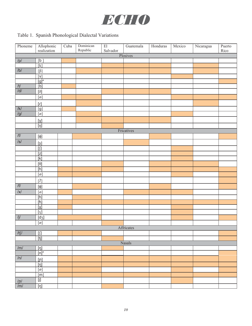

## Table 1. Spanish Phonological Dialectal Variations

| Phoneme                   | Allophonic<br>realization                                                                                                                                                                                                                                                                                                                                                                                                                                                     | Cuba | Dominican | $\overline{\mathrm{El}}$ | Guatemala  | Honduras | Mexico | Nicaragua | Puerto |
|---------------------------|-------------------------------------------------------------------------------------------------------------------------------------------------------------------------------------------------------------------------------------------------------------------------------------------------------------------------------------------------------------------------------------------------------------------------------------------------------------------------------|------|-----------|--------------------------|------------|----------|--------|-----------|--------|
|                           |                                                                                                                                                                                                                                                                                                                                                                                                                                                                               |      | Republic  | Salvador                 | Plosives   |          |        |           | Rico   |
| /p/                       | [b]                                                                                                                                                                                                                                                                                                                                                                                                                                                                           |      |           |                          |            |          |        |           |        |
|                           | $\boxed{\left[\text{k}\right]}$                                                                                                                                                                                                                                                                                                                                                                                                                                               |      |           |                          |            |          |        |           |        |
| /b/                       |                                                                                                                                                                                                                                                                                                                                                                                                                                                                               |      |           |                          |            |          |        |           |        |
|                           | $[V]$                                                                                                                                                                                                                                                                                                                                                                                                                                                                         |      |           |                          |            |          |        |           |        |
|                           | $[g]^*$                                                                                                                                                                                                                                                                                                                                                                                                                                                                       |      |           |                          |            |          |        |           |        |
| $\frac{1}{10}$            | [b]                                                                                                                                                                                                                                                                                                                                                                                                                                                                           |      |           |                          |            |          |        |           |        |
|                           | $[\eth]$                                                                                                                                                                                                                                                                                                                                                                                                                                                                      |      |           |                          |            |          |        |           |        |
|                           | $\boxed{\emptyset}$                                                                                                                                                                                                                                                                                                                                                                                                                                                           |      |           |                          |            |          |        |           |        |
|                           | $[$ ]                                                                                                                                                                                                                                                                                                                                                                                                                                                                         |      |           |                          |            |          |        |           |        |
| /k/                       | [g]                                                                                                                                                                                                                                                                                                                                                                                                                                                                           |      |           |                          |            |          |        |           |        |
| $\overline{g}/$           | $[\varnothing]$                                                                                                                                                                                                                                                                                                                                                                                                                                                               |      |           |                          |            |          |        |           |        |
|                           | $[\gamma]$                                                                                                                                                                                                                                                                                                                                                                                                                                                                    |      |           |                          |            |          |        |           |        |
|                           | $[{\mathfrak y}]$                                                                                                                                                                                                                                                                                                                                                                                                                                                             |      |           |                          |            |          |        |           |        |
|                           |                                                                                                                                                                                                                                                                                                                                                                                                                                                                               |      |           |                          | Fricatives |          |        |           |        |
| / f /                     | $[\![\boldsymbol{\varphi}]\!]$                                                                                                                                                                                                                                                                                                                                                                                                                                                |      |           |                          |            |          |        |           |        |
| $\overline{\mathcal{S}}$  | [5]                                                                                                                                                                                                                                                                                                                                                                                                                                                                           |      |           |                          |            |          |        |           |        |
|                           | $\boxed{\text{min}}$                                                                                                                                                                                                                                                                                                                                                                                                                                                          |      |           |                          |            |          |        |           |        |
|                           | $\boxed{z}$                                                                                                                                                                                                                                                                                                                                                                                                                                                                   |      |           |                          |            |          |        |           |        |
|                           | $\overline{[k]}$                                                                                                                                                                                                                                                                                                                                                                                                                                                              |      |           |                          |            |          |        |           |        |
|                           | $[\theta] % \centering \includegraphics[width=0.9\columnwidth]{figures/fig_10.pdf} \caption{The graph $\mathcal{N}_1$ is a function of the parameter $\mathcal{N}_1$ and the number of parameter $\mathcal{N}_2$ is a function of the parameter $\mathcal{N}_1$ and the number of parameter $\mathcal{N}_2$ is a function of the parameter $\mathcal{N}_1$ and the number of parameter $\mathcal{N}_2$ is a function of the parameter $\mathcal{N}_1$.} \label{fig:fig:time}$ |      |           |                          |            |          |        |           |        |
|                           | [h]                                                                                                                                                                                                                                                                                                                                                                                                                                                                           |      |           |                          |            |          |        |           |        |
|                           | $[\varnothing]$                                                                                                                                                                                                                                                                                                                                                                                                                                                               |      |           |                          |            |          |        |           |        |
|                           | $[?\]$                                                                                                                                                                                                                                                                                                                                                                                                                                                                        |      |           |                          |            |          |        |           |        |
| /f/ $\,$                  | $[\phi]$                                                                                                                                                                                                                                                                                                                                                                                                                                                                      |      |           |                          |            |          |        |           |        |
| $\overline{ \mathbf{x} }$ | $[\varnothing]$                                                                                                                                                                                                                                                                                                                                                                                                                                                               |      |           |                          |            |          |        |           |        |
|                           | [h]                                                                                                                                                                                                                                                                                                                                                                                                                                                                           |      |           |                          |            |          |        |           |        |
|                           | $[\hbar]$                                                                                                                                                                                                                                                                                                                                                                                                                                                                     |      |           |                          |            |          |        |           |        |
|                           | $[\chi]$                                                                                                                                                                                                                                                                                                                                                                                                                                                                      |      |           |                          |            |          |        |           |        |
|                           | [y]                                                                                                                                                                                                                                                                                                                                                                                                                                                                           |      |           |                          |            |          |        |           |        |
| $\overline{1}$            | $\boxed{\phantom{0.0}[\mathrm{d} \mathrm{3}]}$                                                                                                                                                                                                                                                                                                                                                                                                                                |      |           |                          |            |          |        |           |        |
|                           | $[\boldsymbol{\emptyset}]$                                                                                                                                                                                                                                                                                                                                                                                                                                                    |      |           |                          | Affricates |          |        |           |        |
| $/t \int$                 | $[] \centering \includegraphics[width=0.47\textwidth]{Figures/PD1.png} \caption{The 3D (blue) and 4D (blue) are shown in Fig.~\ref{fig:10}.} \label{fig:10}$                                                                                                                                                                                                                                                                                                                  |      |           |                          |            |          |        |           |        |
|                           | $[tj]$                                                                                                                                                                                                                                                                                                                                                                                                                                                                        |      |           |                          |            |          |        |           |        |
|                           |                                                                                                                                                                                                                                                                                                                                                                                                                                                                               |      |           |                          | Nasals     |          |        |           |        |
| /m/                       | [n]                                                                                                                                                                                                                                                                                                                                                                                                                                                                           |      |           |                          |            |          |        |           |        |
|                           | $[n]^*$                                                                                                                                                                                                                                                                                                                                                                                                                                                                       |      |           |                          |            |          |        |           |        |
| /n/                       | [n]                                                                                                                                                                                                                                                                                                                                                                                                                                                                           |      |           |                          |            |          |        |           |        |
|                           | [n]                                                                                                                                                                                                                                                                                                                                                                                                                                                                           |      |           |                          |            |          |        |           |        |
|                           | $[\varnothing]$                                                                                                                                                                                                                                                                                                                                                                                                                                                               |      |           |                          |            |          |        |           |        |
|                           | [m]                                                                                                                                                                                                                                                                                                                                                                                                                                                                           |      |           |                          |            |          |        |           |        |
|                           | Ū                                                                                                                                                                                                                                                                                                                                                                                                                                                                             |      |           |                          |            |          |        |           |        |
| $\frac{ln/}{ln/}$         | $[n]$                                                                                                                                                                                                                                                                                                                                                                                                                                                                         |      |           |                          |            |          |        |           |        |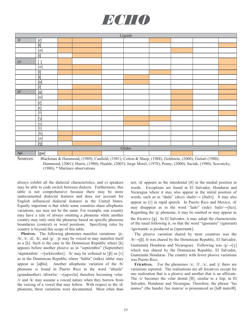

| Liquids              |                                                                                                                                                                                                                                                                                                                                                                                                                                                                                                                                                                                                                                                                                                                                                                                                                                                                                                    |  |  |  |        |  |  |  |  |
|----------------------|----------------------------------------------------------------------------------------------------------------------------------------------------------------------------------------------------------------------------------------------------------------------------------------------------------------------------------------------------------------------------------------------------------------------------------------------------------------------------------------------------------------------------------------------------------------------------------------------------------------------------------------------------------------------------------------------------------------------------------------------------------------------------------------------------------------------------------------------------------------------------------------------------|--|--|--|--------|--|--|--|--|
| $\frac{1}{\sqrt{1}}$ | [r]                                                                                                                                                                                                                                                                                                                                                                                                                                                                                                                                                                                                                                                                                                                                                                                                                                                                                                |  |  |  |        |  |  |  |  |
|                      | $\boxed{[t]}$                                                                                                                                                                                                                                                                                                                                                                                                                                                                                                                                                                                                                                                                                                                                                                                                                                                                                      |  |  |  |        |  |  |  |  |
|                      | $[\varnothing]$                                                                                                                                                                                                                                                                                                                                                                                                                                                                                                                                                                                                                                                                                                                                                                                                                                                                                    |  |  |  |        |  |  |  |  |
|                      | $\boxed{[\mathsf{i}]}$                                                                                                                                                                                                                                                                                                                                                                                                                                                                                                                                                                                                                                                                                                                                                                                                                                                                             |  |  |  |        |  |  |  |  |
| $/$ r/               | $\left[ \ \right]$                                                                                                                                                                                                                                                                                                                                                                                                                                                                                                                                                                                                                                                                                                                                                                                                                                                                                 |  |  |  |        |  |  |  |  |
|                      | $[\boldsymbol{\mathit{o}}]$                                                                                                                                                                                                                                                                                                                                                                                                                                                                                                                                                                                                                                                                                                                                                                                                                                                                        |  |  |  |        |  |  |  |  |
|                      | $\overline{[1]}$                                                                                                                                                                                                                                                                                                                                                                                                                                                                                                                                                                                                                                                                                                                                                                                                                                                                                   |  |  |  |        |  |  |  |  |
|                      | $\boxed{[t]}$                                                                                                                                                                                                                                                                                                                                                                                                                                                                                                                                                                                                                                                                                                                                                                                                                                                                                      |  |  |  |        |  |  |  |  |
|                      | [s]                                                                                                                                                                                                                                                                                                                                                                                                                                                                                                                                                                                                                                                                                                                                                                                                                                                                                                |  |  |  |        |  |  |  |  |
|                      | $\boxed{[i]}$                                                                                                                                                                                                                                                                                                                                                                                                                                                                                                                                                                                                                                                                                                                                                                                                                                                                                      |  |  |  |        |  |  |  |  |
| /r/                  | $[\chi]$                                                                                                                                                                                                                                                                                                                                                                                                                                                                                                                                                                                                                                                                                                                                                                                                                                                                                           |  |  |  |        |  |  |  |  |
|                      | $[\![ \kappa ]\!]$                                                                                                                                                                                                                                                                                                                                                                                                                                                                                                                                                                                                                                                                                                                                                                                                                                                                                 |  |  |  |        |  |  |  |  |
|                      | [r]                                                                                                                                                                                                                                                                                                                                                                                                                                                                                                                                                                                                                                                                                                                                                                                                                                                                                                |  |  |  |        |  |  |  |  |
|                      | $[r] \centering% \includegraphics[width=0.9\columnwidth]{figures/fig_10.pdf} \includegraphics[width=0.9\columnwidth]{figures/fig_10.pdf} \includegraphics[width=0.9\columnwidth]{figures/fig_10.pdf} \includegraphics[width=0.9\columnwidth]{figures/fig_10.pdf} \includegraphics[width=0.9\columnwidth]{figures/fig_10.pdf} \includegraphics[width=0.9\columnwidth]{figures/fig_10.pdf} \includegraphics[width=0.9\columnwidth]{figures/fig_10.pdf} \includegraphics[width=0.9\columnwidth]{figures/fig_10.pdf} \includegraphics[width=0.9\columnwidth]{figures/fig_10.pdf} \includegraphics[width=0.9\columnwidth]{figures/fig_10.pdf} \includegraphics[$                                                                                                                                                                                                                                        |  |  |  |        |  |  |  |  |
|                      |                                                                                                                                                                                                                                                                                                                                                                                                                                                                                                                                                                                                                                                                                                                                                                                                                                                                                                    |  |  |  |        |  |  |  |  |
|                      | $[3]$                                                                                                                                                                                                                                                                                                                                                                                                                                                                                                                                                                                                                                                                                                                                                                                                                                                                                              |  |  |  |        |  |  |  |  |
|                      | $[s]$                                                                                                                                                                                                                                                                                                                                                                                                                                                                                                                                                                                                                                                                                                                                                                                                                                                                                              |  |  |  |        |  |  |  |  |
|                      | $\boxed{1}$                                                                                                                                                                                                                                                                                                                                                                                                                                                                                                                                                                                                                                                                                                                                                                                                                                                                                        |  |  |  |        |  |  |  |  |
|                      | $[h] \centering% \includegraphics[width=1.0\textwidth]{Figures/PN1.png} \caption{The 3D (black) model for a different region of the parameter $\Omega$. The left side is the same time. The right side is the same time. The right side is the same time. The right side is the same time. The right side is the same time. The right side is the same time. The right side is the same time. The right side is the same time. The right side is the same time. The right side is the same time. The right side is the same time. The right side is the same time. The right side is the same time. The right side is the same time. The right side is the same time. The right side is the same time. The right side is the same time. The right side is the same time. The right side is the same time. The right side is the same time. The right side is the same time. The right side is the$ |  |  |  |        |  |  |  |  |
|                      | $[\varnothing]$                                                                                                                                                                                                                                                                                                                                                                                                                                                                                                                                                                                                                                                                                                                                                                                                                                                                                    |  |  |  |        |  |  |  |  |
|                      | [n]                                                                                                                                                                                                                                                                                                                                                                                                                                                                                                                                                                                                                                                                                                                                                                                                                                                                                                |  |  |  |        |  |  |  |  |
|                      |                                                                                                                                                                                                                                                                                                                                                                                                                                                                                                                                                                                                                                                                                                                                                                                                                                                                                                    |  |  |  | Glides |  |  |  |  |
| /w/                  | [gw]                                                                                                                                                                                                                                                                                                                                                                                                                                                                                                                                                                                                                                                                                                                                                                                                                                                                                               |  |  |  |        |  |  |  |  |

Sources: Blackman & Hammond, (1989); Canfield, (1981); Cotton & Sharp, (1988); Goldstein, (2000); Guitart (1980); Hammond, (2001); Harris, (1980); Hualde, (2005); Jorge Morel, (1978); Penny, (2000); Saciuk, (1980); Scavnicky, (1980); \* Martinez observations

always exhibit all the dialectal characteristics, and c) speakers may be able to code switch between dialects. Furthermore, this table is not comprehensive because there may be more undocumented dialectal features and does not account for English influenced dialectal features in the United States. Equally important is that while some countries share allophonic variations, use may not be the same. For example, one country may have a rule of always omitting a phoneme while another country may only omit the phoneme based on specific phoneme boundaries (context) or word positions. Specifying rules by country is beyond this scope of this table.

 **Plosives.** The following phonemes manifest variations: /p/,  $/b/$ ,  $/t/$ ,  $/d/$ ,  $/k/$ , and  $/g/$ .  $/p/$  may be voiced or may manifest itself as a [k]. Such is the case in the Dominican Republic where [k] appears before another plosive as in "septiembre" (September)  $\sqrt{s}$ eptiembr $\varepsilon$   $\rightarrow$  [sektiembr $\varepsilon$ ]. /b/ may be softened to [ $\beta$ ] or [v] as in the Dominican Republic where "habla" (talks) /abla/ may appear as  $\lceil \alpha \beta \rceil a$ . Another allophonic variation of the /b/ phoneme is found in Puerto Rico in the word "abuela" (grandmother)  $\text{/dbwela}/ \rightarrow \text{[agwela]}$  therefore becoming velar. /t/ and /k/ may assume a voiced nature when they borrow from the voicing of a vowel that may follow. With respect to the /d/ phoneme, three variations were documented. Most often than

not,  $/d/$  appears as the interdental  $[\delta]$  in the medial position in words. Exceptions are found in El Salvador, Honduras and Nicaragua where it may also appear in the initial position of words, such as in "dado" (dice) /dado/→ [ðaðo]. It may also appear as  $[r]$  in rapid speech. In Puerto Rico and Mexico,  $\frac{d}{d}$ may disappear as in the word "lado" (side)  $/|{\rm d}a_{\rm D}|$ . Regarding the  $/g$  phoneme, it may be omitted or may appear as the fricative  $[\gamma]$ . In El Salvador, it may adopt the characteristic of the nasal following it, so that the word "ignorante" (ignorant)  $\gamma$ ignorant $\varepsilon$  is produced as [innorant $\varepsilon$ ].

 The plosive variation shared by most countries was the  $/b \rightarrow [\beta]$ . It was shared by the Dominican Republic, El Salvador, Guatemala Honduras and Nicaragua). Following was  $/g/\rightarrow [V]$ which was shared by the Dominican Republic, El Salvador, Guatemala Honduras. The country with fewer plosive variations was Puerto Rico.

Fricatives. For the phonemes /s/, /f/, /x/, and /j/ there are variations reported. The realizations are all fricatives except for one realization that is a plosive and another that is an affricate. The  $/s/$  becomes the velar dental [ $\theta$ ], similar to a lisp, in El Salvador, Honduras and Nicaragua. Therefore, the phrase "las manos" (the hands) /las manos/ is pronounced as  $[1 \text{d}\theta \text{ man}\vartheta]$ .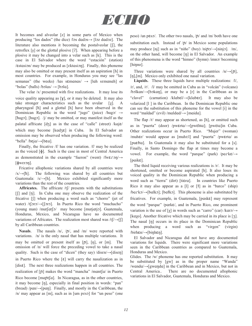

It becomes and alveolar [z] in some parts of Mexico when producing "los dados" (the dice) /los dados $\rightarrow$  [loz dadoz]. The literature also mentions it becoming the postalveolar  $[$ [ $]$ ], the retroflex  $[s]$  or the glottal plosive  $[?]$ . When appearing before a plosive it may be changed into a velar such as [k]. This is the case in El Salvador where the word "estación" (station)  $\ell$ stasion/ may be produced as [ $\ell$ ktasion]. Finally, this phoneme may also be omitted or may present itself as an aspiration [h] in most countries. For example, in Honduras you may see "las semanas" (the weeks) /las s $\epsilon$ manas/  $\rightarrow$  [lah semanah] or "bolas" (balls)  $/b$ olas $/ \rightarrow$  [bola].

 The velar /x/ presented with five realizations. It may lose its voice quality appearing as  $[\gamma]$ , or it may be deleted. It may also take stronger characteristics such as the uvular  $[\gamma]$ . A pharyngeal [ħ] and a glottal [h] have been observed in the Dominican Republic in the word "jugo" (juice)  $/hugy \rightarrow$ [hugɔ]; [hugɔ].  $/j/may$  be omitted, or may manifest itself as the palatal affricate  $[d_3]$  as in the case of "calle" (street) /kqj $\varepsilon$ / which may become  $[kad \xi \epsilon]$  in Cuba. In El Salvador an omission may be observed when producing the following word: "bella" /b $\epsilon$ ja/ $\rightarrow$ [b $\epsilon$ a].

 Finally, the fricative /f/ has one variation. /f/ may be realized as the voiced  $[\![\boldsymbol{\phi}]\!]$ . Such is the case in most of Central America as demonstrated in the example "fueron" (went) /fw $\epsilon \in \Omega$  $\lceil \phi$ weron].

 Fricative allophonic variations shared by all countries were  $/x \rightarrow$ [h]. The following was shared by all countries but Guatemala:  $/s/ \rightarrow [h]$ . Mexico exhibited significantly more variations than the rest of the countries.

**Affricates.** The affricate  $/t$  presents with the substitutions [f] and [tj]. In Cuba one may observe the realization of the fricative [ $\int$ ] when producing a word such as "chorro" (jet of water) /t $\frac{1}{2}$ ro $\rightarrow$ [ $\frac{1}{2}$ ro]. In Puerto Rico the word "muchacho" (young man) /mut $\int$  may become [mutjutjo]. Guatemala, Honduras, Mexico, and Nicaragua have no documented variations of Africates. The realization most shared was  $/t$ [ $\rightarrow$ [ $\parallel$ ] by all Caribbean countries.

**Nasals**. The nasals /n/, /ɲ/, and /m/ were reported with variations. /n/ is the only nasal that has multiple variations. It may be omitted or present itself as  $[n]$ ,  $[n]$ , or  $[m]$ . The omission of /n/ will force the preceding vowel to take a nasal quality. Such is the case of "dicen" (they say)  $\Delta$ isen $\rightarrow$ [disen] in Puerto Rico where the  $\lceil \varepsilon \rceil$  will carry the nasalization as in [dis $\varepsilon$ ]. The next three realizations happen in all countries. The realization of  $[n]$  makes the word "mancha" /mant $\int a / in$  Puerto Rico become [mantʃa]. In Nicaragua, as in the other countries, it may become [ŋ], especially in final position in words: "pan" (bread) /pan/ $\rightarrow$ [pan]. Finally, and mostly in the Caribbean, the  $/n/$  may appear as [m], such as in [um peso] for "un peso" (one peso) /un p $\epsilon$ so/. The other two nasals, / $\eta$ / and /m/ both have one substitution each. Instead of  $/p/$  in Mexico some populations may produce [nj] such as in "niño" (boy) /ni $p_2$  $\rightarrow$ [ninj $\infty$ ]. /m/, on the other hand, will become [ŋ] in El Salvador. An example of this phenomena is the word "himno" (hymn) /imno/ becoming [hinno].

Three variations were shared by all countries  $/n \rightarrow [n]$ , [n], [m]. Mexico only exhibited one nasal variation.

 **Liquids.** These three liquids have multiple realizations: /l/, /r/, and, /ɾ/. /l/ may be omitted in Cuba as in "volcán" (volcano)  $/b$ olkan $\rightarrow$ [bokan], or may be a [r] in the Caribbean as in "clavel" (carnation) /klabεl/→[klabεr]. It may also be velarized [l ] in the Caribbean. In the Dominican Republic one can see the substitution of this phoneme for the vowel [i] in the word "maldad" (evil) /mɑldɑd/→ [mɑidɑ].

The flap  $\sqrt{r}$  may appear as shortened, as [h], or omitted such as in "puerta" (door) /pw $\text{erta} \rightarrow [\text{pwehta}]$ ; [pw $\text{eta}$ ]in Cuba. Other realizations occur in Puerto Rico. "Mujer" (woman) /muh $\epsilon$ r/ would appear as [muh $\epsilon$ ] and "puerta" /pw $\epsilon$ rta/ as [puɛtta]. In Guatemala it may also be substituted for a [s]. Finally, in Santo Domingo the flap at times may become a vowel. For example, the word "parque" (park) /park $\varepsilon$ / $\rightarrow$  $[paike]$ .

 The third liquid receiving various realizations is /r/. It may be shortened, omitted or become aspirated [h]. It also loses its voiced quality in the Dominican Republic when producing a word such as "tierra" (dirt) [tiera]. In countries like Puerto Rico it may also appear as a  $[1]$  or  $[1]$  as in "barco" (ship)  $/bark\rightarrow$ [balkɔ]; [bałkɔ]. This phoneme is also substituted by fricatives. For example, in Guatemala,  $[pask \varepsilon]$  may represent the word "parque" /park $\varepsilon$ /, and in Puerto Rico, one prominent variation is the use of [ $\chi$ ] in words such as "carro" (car) /karo/ $\rightarrow$ [kayo]. Another fricative which may be carried in its place is [ $\bar{z}$ ]. The nasal  $[n]$  occurs in its place in the Dominican Republic when producing a word such as "virgen" (virgin)  $\left| \right\rangle$ -[binhen].

 El Salvador and Nicaragua did not have any documented variations for liquids. There were significant more variations seen in the Caribbean countries as compared to Guatemala, Honduras and Mexico.

Glides. The /w/ phoneme has one reported substitution. It may be substituted by [gw] as in the proper name "Wanda"  $/wanda/ \rightarrow [gwaqda]$  in the Caribbean and in Mexico, but not in Central America.. There are no documented allophonic variations in El Salvador, Guatemala, Honduras and Mexico.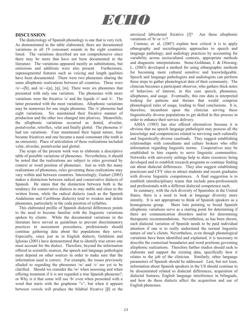

#### **DISCUSSION**

 The dialectology of Spanish phonology is one that is very rich. As demonstrated in the table elaborated, there are documented variations in all 19 consonant sounds in the eight countries listed. The variations described are not comprehensive since there may be more that have not been documented in the literature. The variations appeared mostly as substitutions, but omissions and additions were also present. Furthermore, suprasegmental features such as voicing and length qualities have been documented. There were two phonemes sharing the same allophonic realizations between all countries. These were  $/x \rightarrow [h]$ , and  $/n \rightarrow [n]$ , [n], [m]. There were six phonemes that presented with only one variation. The phonemes with more variations were the fricative  $/s/$  and the liquids  $/r/$  and  $/r/$ . The latter presented with the most variations. Allophonic variations may be numerous for one single phoneme. The /s/ phoneme had eight variations. Six maintained their fricative manner of production and the other two changed into plosives. Meanwhile, the allophonic variations occurred as dental, alveolar, postalveolar, retroflex, velar and finally glottal. The phoneme /r/ had ten variations. Four maintained their liquid nature, four became fricatives and one became a nasal consonant (the tenth is an omission). Place of articulation of these realizations included velar, alveolar, postalveolar and glottal.

 The scope of the present work was to elaborate a descriptive table of possible variations of phonemes. Nevertheless, it should be noted that the realizations are subject to rules governed by context or word position of phonemes. Just as with the many realizations of phonemes, rules governing these realizations may vary within and between countries. Interestingly, Guitart (2005) makes a distinction between radical and conservative dialects of Spanish. He states that the distinction between both is the tendency for conservative dialects to stay stable and close to the written forms, while the radical dialects (such as the Spanish Andalusian and Caribbean dialects) tend to weaken and delete phonemes, particularly in the coda position of syllables.

 This elaborated profile of Spanish dialectal differences points to the need to become familiar with the linguistic variations spoken by clients. While the documented variations in the literature have served as guidelines to prevent discriminatory practices in assessment procedures, professionals should continue gathering data about the populations they serve. Especially, since just as in English dialects, Goldstein and Iglesias (2001) have demonstrated that to identify true errors one must account for the dialect. Therefore, beyond the information offered in scientific sources, the speech and language pathologist must depend on other sources in order to make sure that the information used is correct. For example, the issues previously alluded to regarding the phonemes /w/ and /v/ are yet to be clarified. Should we consider the /w/ when assessing and when offering treatment if it is not regarded a true Spanish phoneme?, or Why is it that some will use /b/ even when presented with a word that starts with the grapheme "v", but when it appears between vowels will produce the bilabial fricative  $[\beta]$  or the

unvoiced labiodental fricative [f]? Are these allophonic variations of /b/ or /v/?

 Centeno, et. al. (2007) explain how critical it is to apply ethnography and sociolinguistic approaches to speech and language pathology, and audiology practices by accounting for variability across sociocultural contexts, appropriate methods and diagnostic interpretations. Stone-Goldman, J. & Olswang, L. (2003) developed a method for using ethnographic methods for becoming more cultural sensitive and knowledgeable. Speech and language pathologists and audiologists can perform these steps to gather phonological data of their community. The clinician becomes a participant observer, who gathers thick notes of behaviors of interest, in this case speech, phonemes, allophones, and usage. Eventually, this raw data is interpreted looking for patterns and themes that would comprise phonological rules of usage, leading to final conclusions. It is, therefore, incumbent upon the clinician serving these linguistically diverse populations to get skilled in this process in order to enhance their service delivery.

 ASHA (1985) has also offered alternatives because it is obvious that no speech language pathologist may possess all the knowledge and competencies related to servicing such culturally and linguistically diverse caseloads. They suggest establishing relationships with consultants and culture brokers who offer information regarding linguistic norms. Cooperatives may be established to hire experts to serve linguistic communities. Networks with university settings help to share resources being developed and to establish research programs to continue finding out about dialectal differences. They also suggest establishing practicum and CFY sites to attract students and recent graduates with diverse linguistic competences. A final suggestion is to establish interdisciplinary teams that include para-professionals and professionals with a different dialectal competence each.

 In summary, with the rich diversity of Spanishes in the United States, there is a need to look at language diversity more intently. It is not appropriate to think of Spanish speakers as a homogenous group. Short lists pointing to broad Spanish allophonic variations serve as a starting point for determining if there are communication disorders and/or for determining therapeutic recommendations. Nevertheless, as has been shown, each dialectal variation of Spanish needs to be paid individual attention if one is to really understand the normal linguistic nature of one's clients. Nevertheless, even though phonological variations have been identified and explained, it is necessary to describe the contextual boundaries and word positions governing allophonic realizations. Therefore further studies should seek to elaborate and support the existing data, specifically how it relates to the job of the clinician. Similarly, other language parameters of Spanish should be addressed. Last, but not least, information about Spanish speakers in the US should continue to be disseminated related to dialectal differences, acquisition of dialectal features, English language interference in bilinguals, and how do these dialects affect the acquisition and use of English phonemes.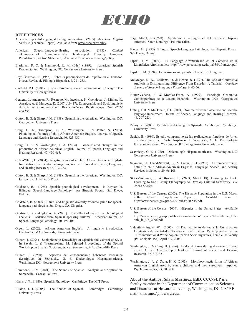

#### **REFERENCES**

- American Speech-Language-Hearing Association. (2003). *American English Dialects* [Technical Report]. Available from www.asha.org/policy.
- American Speech-Language-Hearing Association. (1985). *Clinical Management*of Communicatively Handicapped Minority Language Populations [Position Statement]. Available from: www.asha.org/policy.
- Bjarkman, P. C. & Hammond, R. M, (Eds.) (1989). American Spanish Pronunciation. Washington, DC: Georgetown University Press.
- Boyd-Bowman, P. (1953). Sobre la pronunciación del español en el Ecuador. Nueva Revista de Filología Hispánica, 7, 221-233.
- Canfield, D.L. (1981). Spanish Pronunciation in the Americas. Chicago: The University of Chicago Press.
- Centeno, J., Anderson, R., Restrepo, M., Jacobson, P., Guendouzi, J., Müller, N., Ansaldo, A. & Marcotte, K. (2007, July 17). Ethnographic and Sociolinguistic Aspects of Communication: Research-Praxis Relationships. *The ASHA Leader.*
- Cotton, E. G. & Sharp, J. M. (1988). Spanish in the Americas. Washington, DC: Georgetown University Press
- Craig, H, K., Thompson, C. A., Washington, J. & Potter, S. (2003). Phonological features of child African American English. Journal of Speech, Language and Hearing Research, 46, 623-635.
- Craig, H. K. & Washington, J. A. (2004). Grade-related changes in the production of African American English. Journal of Speech, Language, and Hearing Research, 47, 450-463.
- Coles-White, D. (2004). Negative concord in child African American English: Implications for specific language impairment. Journal of Speech, Language, and Hearing Research, 47, 212-222.
- Cotton, E. G. & Sharp, J. M. (1988). Spanish in the Americas. Washington, DC: Georgetown University Press.
- Goldstein, B. (1995). Spanish phonological development. In Kayser, H. Bilingual Speech-Language Pathology: An Hispanic Focus. San Diego, Delmar.
- Goldstein, B. (2000). Cultural and linguistic diversity resource guide for speechlanguage pathologists. San Diego, CA: Singular.
- Goldstein, B. and Iglesias, A. (2001). The effect of dialect on phonological analysis: Evidence from Spanish-speaking children. American Journal of Speech-Language Pathology, 10, 394-406.
- Green, L. (2002). African American English: A linguistic introduction. Cambridge, MA: Cambridge University Press.
- Guitart, J. (2005). Sociophonetic Knowledge of Spanish and Control of Style. In Sayahi, L. & Westmoreland, M. Selected Proceedings of the Second Workshop on Spanish Sociolinguistics. Somerville, MA: Cascadilla Press
- Guitart, J. (1980). Aspectos del consonantismo habanero: Reexamen descriptivo. In Scavnicky, G. E. Dialectología Hispanoamericana. Washington DC: Georgetown University Press.
- Hammond, R. M. (2001). The Sounds of Spanish: Analysis and Application. Somerville: Cascadilla Press.
- Harris, J. W. (1980**).** Spanish Phonology. Cambridge: The MIT Press**.**
- Hualde, J. I. (2005). The Sounds of Spanish. Cambridge: Cambridge University Press.
- Jorge Morel, E. (1978). Aportación a la lingüística del Caribe e Hispano America. Santo Domingo: Editora Taller.
- Kayser, H. (1995). Bilingual Speech-Language Pathology: An Hispanic Focus. San Diego, Delmar.
- Lipski, J. M. (2007). El Lenguage Afromexicano en el Contexto de la Lingüística Afrohispánica. http://www.personal.psu.edu/jm134/afromexx.pdf.
- Lipski, J. M. (1994). Latin American Spanish. New York: Longman.
- McGregor, K. K., Williams, D. & Hearst, S. (1997). The Use of Contrastive Analysis in Distinguishing Difference From Disorder: A Tutorial. *American Journal of Speech-Language Pathology*, 6, 45-56.
- Nuñez-Cedeño, R. & Morales-Front, A. (1999). Fonología Generativa Contemporánea de la Lengua Española. Washington, DC: Georgetown University Press.
- Oeting, J. B. & McDonald, J. L. (2001). Nonmainstream dialect use and specific language impairment. Journal of Speech, Language and Hearing Research, 44, 207-223.
- Penny, R. (2000). Variation and Change in Spanish. Cambridge: Cambridge University Press.
- Saciuk, B. (1980). Estudio comparativo de las realizaciones fonéticas de /y/ en dos dialécticos del Caribe hispánico. In Scavnicky, G. E. Dialectología Hispanoamericana. Washington DC: Georgetown University Press.
- Scavnicky, G. E. (1980). Dialectología Hispanoamericana. Washington DC: Georgetown University Press.
- Seymour, H., Bland-Stewart, L., & Green, L. J. (1998). Differences versus deficit in child African-American English: Language, Speech, and hearing Services in Schools, 29, 96-108.
- Stone-Goldman, J. & Olswang, L. (2003, March 18). Learning to Look, Learning to See : Using Ethnography to Develop Cultural Sensitivity. *The ASHA Leade*r.
- U.S. Bureau of the Census. (2003). The Hispanic Population in the U.S: March 2002: Current Population Report. Available from : http://www.census.gov/prod/2003pubs/p20-545.pdf.
- U.S. Bureau of the Census. (2006). Hispanics in the United States. Available from:
- http://www.census.gov/population/www/socdemo/hispanic/files/Internet\_Hisp anic\_in\_US\_2006.pdf
- Valentín-Márquez, W. (2006). El Debilitamiento de /-s/ y la Construcción Lingüística de Identidades Sociales en Puerto Rico. Paper presented at the Third International Workshop on Spanish Sociolinguistics, Temple University (Philadelphia, PA), April 6-9, 2006.
- Washington, J. & Craig, H. (1994). Dialectal forms during discourse of poor, urban, African American preschoolers. Journal of Speech and Hearing Research, 37, 816-823.
- Washington, J. A. & Craig, H. K. (2002). Morphosyntactic forms of African American English used by young children and their caregivers. Applied Psycholinguistics, 23, 209-231.

**About the Author: Silvia Martinez, EdD, CCC-SLP** is a faculty member in the Department of Communication Sciences and Disorders at Howard University, Washington, DC 20859 Email: smartinez@howard.edu.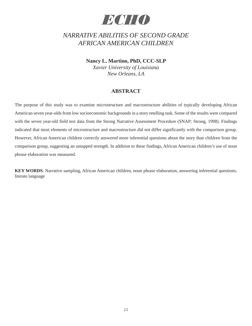## *ECHO*

### *NARRATIVE ABILITIES OF SECOND GRADE AFRICAN AMERICAN CHILDREN*

**Nancy L. Martino, PhD, CCC-SLP** 

*Xavier University of Louisiana New Orleans, LA*

### **ABSTRACT**

The purpose of this study was to examine microstructure and macrostructure abilities of typically developing African American seven year-olds from low socioeconomic backgrounds in a story retelling task. Some of the results were compared with the seven year-old field test data from the Strong Narrative Assessment Procedure (SNAP; Strong, 1998). Findings indicated that most elements of microstructure and macrostructure did not differ significantly with the comparison group. However, African American children correctly answered more inferential questions about the story than children from the comparison group, suggesting an untapped strength. In addition to these findings, African American children's use of noun phrase elaboration was measured.

**KEY WORDS**: Narrative sampling, African American children, noun phrase elaboration, answering inferential questions, literate language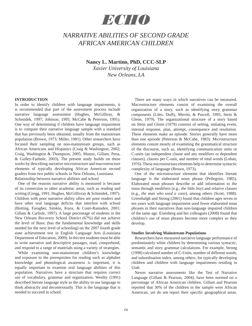## *ECHO*

### *NARRATIVE ABILITIES OF SECOND GRADE AFRICAN AMERICAN CHILDREN*

#### **Nancy L. Martino, PhD, CCC-SLP**

*Xavier University of Louisiana New Orleans, LA*

#### **INTRODUCTION**

In order to identify children with language impairments, it is recommended that part of the assessment process include narrative language assessment (Hughes, McGilliray, & Schmidek, 1997; Johnson, 1995; McCabe & Peterson, 1991). One way of determining if children have language impairment is to compare their narrative language sample with a standard that has previously been obtained, usually from the mainstream population (Brown, 1973; Miller, 1981). Other researchers have focused their sampling on non-mainstream groups, such as African Americans and Hispanics (Craig & Washington, 2002; Craig, Washington & Thompson, 2005; Munoz, Gillam, Pena, & Gulley-Faehnle, 2003). The present study builds on these works by describing narrative microstructure and macrostructure elements of typically developing African American second graders from two public schools in New Orleans, Louisiana. Relationship between narrative abilities and school

 One of the reasons narrative ability is measured is because of its connection to other academic areas, such as reading and writing (Gregg, 1991; Hughes, McGillivray & Schmidek, 1997). Children with poor narrative ability often are poor readers and have other oral language deficits that interfere with school (Botting, Faragher, Simkin, Knox, & Conti-Ramsden, 2001; Gillam & Carlisle, 1997). A large percentage of students in the New Orleans Recovery School District (67%) did not achieve the level of Basic (has the fundamental knowledge and skills needed for the next level of schooling) on the 2007 fourth grade state achievement test in English Language Arts (Louisiana Department of Education, 2009). In this test students must be able to write narrative and descriptive passages, read, comprehend, and respond to a range of materials using a variety of strategies.

 While examining non-mainstream children's knowledge and exposure to the prerequisites for reading such as alphabet knowledge and phonological awareness is important, it is equally important to examine oral language abilities of this population. Narratives have a structure that requires correct use of vocabulary, grammar and organization. Westby (1991) described literate language style as the ability to use language to think abstractly and decontextually. This is the language that is needed to succeed in school.

 There are many ways in which narratives can be measured. Macrostructure elements consist of examining the overall organization of a story, such as identifying story grammar components (Liles, Duffy, Merritt, & Purcell, 1995; Stein & Glenn, 1979). The organizational structure of a story based on Stein and Glenn (1979) consists of setting, initiating event, internal response, plan, attempt, consequence and resolution. These elements make an episode. Stories generally have more than one episode (Peterson & McCabe, 1983). Microstructure elements consist mostly of examining the grammatical structure of the discourse, such as, identifying communication units or C-units (an independent clause and any modifiers or dependent clauses), clauses per C-unit, and number of total words (Loban, 1976). These microstructure elements help to determine syntactic complexity of language (Brown, 1973).

 One of the microstructure elements that identifies literate language is the elaborated noun phrase (Pellegrini, 1985). Elaborated noun phrases describe or add information to the noun through modifiers (e.g., *the little boy*) and relative clauses (e.g., *the man who used a cane*), among others (Scott, 1988). Greenhalgh and Strong (2001) found that children ages seven to ten years with language impairment used fewer elaborated noun phrases in their narratives than non-language impaired children of the same age. Eisenberg and her colleagues (2008) found that children's use of noun phrases become more complex as they develop.

#### **Studies Involving Mainstream Populations**

 Researchers have measured narrative language performance of predominately white children by determining various syntactic, semantic and story grammar calculations. For example, Strong (1998) calculated number of C-Units, number of different words, and subordination index, among others, for typically developing children and children with language impairments residing in Utah.

 Newer narrative assessments like the Test of Narrative Language (Gillam & Pearson, 2004), have been normed on a percentage of African American children. Gillam and Pearson reported that 30% of the children in the sample were African American, yet do not report their specific geographical areas.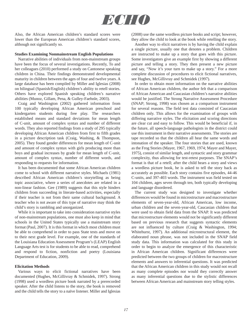

Also, the African American children's standard scores were lower than the European American children's standard scores, although not significantly so.

#### **Studies Examining Nonmainstream English Populations**

 Narrative abilities of individuals from non-mainstream groups have been the focus of several investigations. Recently, To and her colleagues (2010) performed a study on Cantonese speaking children in China. Their findings demonstrated developmental maturity in children between the ages of four and twelve years. A large database has been compiled by Miller and Iglesias (2008) on bilingual (Spanish/English) children's ability to retell stories. Others have explored Spanish speaking children's narrative abilities (Munoz, Gillam, Pena, & Gulley-Faehnle, 2003).

 Craig and Washington (2002) gathered information from 100 typically developing African American preschool and kindergarten students during free play. The researchers established means and standard deviations for mean length of C-unit, amount of complex syntax and number of different words. They also reported findings from a study of 295 typically developing African American children from first to fifth grades in a picture description task (Craig, Washing, & Thompson, 2005). They found gender differences for mean length of C-unit and amount of complex syntax with girls producing more than boys and gradual increases by grade for mean length of C-unit, amount of complex syntax, number of different words, and responding to requests for information.

 It has been documented that some African American children come to school with different narrative styles. Michaels (1981) described African American children's storytelling as being topic associative, where a series of anecdotes are related in a non-linear fashion. Gee (1989) suggests that this style hinders children from succeeding in literate-based activities, especially if their teacher is not from their same cultural background. A teacher who is not aware of this type of narrative may think the child's story is rambling and unorganized.

 While it is important to take into consideration narrative styles of non-mainstream populations, one must also keep in mind that schools in the United States typically use a mainstream story format (Paul, 2007). It is this format in which most children must be able to comprehend in order to pass State tests and move on to their next grade level. For example, one of the standards of the Louisiana Education Assessment Program's (LEAP) English Language Arts test is for students to be able to read, comprehend and respond to fiction, nonfiction and poetry (Louisiana Department of Education, 2009).

#### **Elicitation Methods**

 Various ways to elicit fictional narratives have been documented (Hughes, McGillivray & Schmidek, 1997). Strong (1998) used a wordless picture book narrated by a prerecorded speaker. After the child listens to the story, the book is removed and the child tells the story to a naïve listener. Miller and Iglesias

(2008) use the same wordless picture books and script; however, they allow the child to look at the book while retelling the story.

 Another way to elicit narratives is by having the child explain a single picture, usually one that denotes a problem. Children are instructed to make up a story that goes with this picture. Some investigators give an example first by showing a different picture and telling a story. They then present a new picture and say, "Now it's your turn to make up a story." For a more complete discussion of procedures to elicit fictional narratives, see Hughes, McGillivray and Schmidek (1997).

 In order to obtain more information on the narrative abilities of African American children, the author felt that a comparison of African American and Caucasian children's narrative abilities would be justified. The Strong Narrative Assessment Procedure (SNAP; Strong, 1998) was chosen as a comparison instrument for several reasons. The field test data consisted of Caucasian children only. This allows for the examination of groups with differing narrative styles. The elicitation and scoring directions are clear cut and easy to follow. This would be beneficial if, in the future, all speech-language pathologists in the district could use this instrument in their narrative assessments. The stories are tape recorded so that the children all hear the same words and intonation of the speaker. The four stories that are used, known as the Frog Stories (Mayer, 1967, 1969, 1974; Mayer and Mayer, 1975), consist of similar length, and syntactic and story grammar complexity, thus allowing for test-retest purposes. The SNAP's format is that of a retell; after the child hears a story and views a wordless picture book, he is asked to tell the story back as accurately as possible. Each story contains five episodes, 44-46 C-units, and 397-403 words. The instrument was field tested on 104 children, ages seven through ten, both typically developing and language disordered.

 The current study was designed to investigate whether differences would be found in microstructure and macrostructure elements of seven-year-old, African American, low income, urban children and the seven-year-old, Caucasian children that were used to obtain field data from the SNAP. It was predicted that microstructure elements would not be significantly different based on previous research that suggests syntactic elements are not influenced by culture (Craig & Washington, 1994; Whitehurst, 1997). An additional microstructural element, the elaborated noun phrase, was not included in the SNAP field study data. This information was calculated for this study in order to begin to analyze the emergence of this characteristic in African American children. Significant differences were predicted between the two groups of children for macrostructure elements and answers to inferential questions. It was predicted that the African American children in this study would not recall as many complete episodes nor would they correctly answer as many inferential questions due to the stylistic differences between African American and mainstream story telling styles.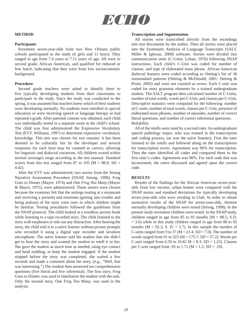

#### **METHOD**

#### **Participants**

 Seventeen seven-year-olds from two New Orleans public schools participated in the study (6 girls and 11 boys). They ranged in age from 7.4 years to 7.11 years of age. All were in second grade, African American, and qualified for reduced or free lunch, indicating that they were from low socioeconomic background.

#### **Procedure**

 Second grade teachers were asked to identify three to five typically developing students from their classrooms to participate in the study. Since the study was conducted in the spring, it was assumed that teachers knew which of their students were developing normally. No students were enrolled in special education or were receiving speech or language therapy or had repeated a grade. After parental consent was obtained, each child was individually tested in a separate room in the child's school. The child was first administered the Expressive Vocabulary Test (EVT, Williams, 1997) to determine expressive vocabulary knowledge. This test was chosen for two reasons: it has been deemed to be culturally fair by the developer and several responses for each item may be counted as correct, allowing for linguistic and dialectal variations. All children scored within normal (average) range according to the test manual. Standard scores from this test ranged from 87 to 105 ( $M = 98.9$ ; SD = 4.42).

 After the EVT was administered, two stories from the Strong Narrative Assessment Procedure (SNAP, Strong, 1998), Frog Goes to Dinner (Mayer, 1974) and *One Frog Too Many* (Mayer & Mayer, 1975), were administered. These stories were chosen because the examiner felt that the settings (eating at a restaurant and receiving a present) and emotions (getting into trouble and being jealous) of the story were ones in which children might be familiar. Testing procedures followed the guidelines from the SNAP protocol. The child looked at a wordless picture book while listening to a tape recorded story. The child listened to the story with earphones to rule out any distraction. After hearing the story, the child told it to a naïve listener without picture prompts who recorded it using a digital tape recorder and lavaliere microphone. The naïve listener told the student that she didn't get to hear the story and wanted the student to retell it to her. She gave the student as much time as needed, using eye contact and head nodding, to keep the student engaged. If the student stopped before the story was completed, she waited a few seconds and made a comment about the story, (e.g., "Well, that was interesting.") The student then answered ten comprehension questions (five literal and five inferential). The first story, Frog Goes to Dinner, was used to familiarize the student with the task. Only the second story, One Frog Too Many, was used in the analysis.

#### **Transcription and Segmentation**

 All stories were transcribed directly from the recordings into text documents by the author. Then all stories were placed into the Systematic Analysis of Language Transcripts (SALT, Miller & Iglesias, 2008) software. Stories were divided into communication units (C-Units; Loban, 1976) following SNAP instructions. Each child's C-Unit was coded for number of clauses, and type of elaborated noun phrase. African American dialectal features were coded according to Oetting's list of 36 nonstandard patterns (Oetting & McDonald, 2001; Oetting & Pruitt, 2005) and were not counted as errors. Each C-unit was coded for story grammar elements by a trained undergraduate student. The SALT program then calculated number of C-Units, number of total words, words per C-Unit, and clauses per C-Unit. Descriptive statistics were computed for the following: number of C-units, number of total words, clauses per C-Unit, presence of elaborated noun phrases, number of episodes, number of correct literal questions, and number of correct inferential questions. Reliability

 All of the retells were rated by a second rater. An undergraduate speech pathology major, who was trained in the transcription and coding process, (as was the naïve listener). First the rater listened to the retells and followed along on the transcriptions for transcription errors. Agreement was 96% for transcription. Then the rater identified all codes and compared them to the first rater's codes. Agreement was 90%. For each code that was inconsistent, the raters discussed and agreed upon the correct code.

#### **RESULTS**

 Results of the findings for the African American seven-yearolds from low income, urban homes were compared with the SNAP norms and standard deviations for typically developing seven-year-olds who were residing in Utah. In order to obtain normative results of the SNAP for seven-year-olds, thirteen normally developing children were tested (Strong, 1998). In the present study seventeen children were tested. In the SNAP study, children ranged in age from 85 to 95 months ( $M = 88.5$ ; S.D.  $= 3.6$ ) while in this study children ranged in age from 88 to 95 months ( $M = 92.3$ ; S. D. = 2.7). In this sample the number of C-units ranged from 9 to 37 ( $M = 21.4$ ; SD = 7.0). The number of words ranged from 91 to 323 ( $M = 175.7$ ; SD = 57.2). Words per C-unit ranged from 6.59 to 10.82  $M = 8.3$ ; SD = 1.22). Clauses per C-unit ranged from .95 to 1.71 (M = 1.2; SD = .19).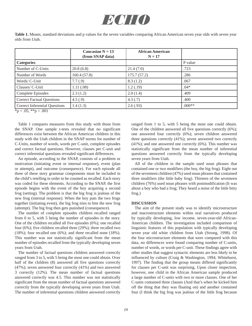

**Table 1.** Means, standard deviations and p values for the seven variables comparing African American seven year olds with seven year olds from Utah.

|                                                                                                                                                                                                                                                                                                                                                                                                     | Caucasian $N = 13$<br>(from SNAP data) | <b>African American</b><br>$N = 17$ |          |
|-----------------------------------------------------------------------------------------------------------------------------------------------------------------------------------------------------------------------------------------------------------------------------------------------------------------------------------------------------------------------------------------------------|----------------------------------------|-------------------------------------|----------|
| <b>Categories</b>                                                                                                                                                                                                                                                                                                                                                                                   |                                        |                                     | P value  |
| Number of C-Units                                                                                                                                                                                                                                                                                                                                                                                   | 20.8(6.8)                              | 21.4(7.0)                           | .723     |
| Number of Words                                                                                                                                                                                                                                                                                                                                                                                     | 160.4(57.8)                            | 175.7(57.2)                         | .286     |
| Words/ C-Unit                                                                                                                                                                                                                                                                                                                                                                                       | 7.7(0.9)                               | 8.3(1.2)                            | .067     |
| Clauses/ C-Unit                                                                                                                                                                                                                                                                                                                                                                                     | 1.11(.08)                              | 1.2(0.19)                           | $.04*$   |
| Complete Episodes                                                                                                                                                                                                                                                                                                                                                                                   | 2.3(1.2)                               | 2.0(1.4)                            | .409     |
| <b>Correct Factual Questions</b>                                                                                                                                                                                                                                                                                                                                                                    | 4.5(.9)                                | 4.3(0.7)                            | .400     |
| <b>Correct Inferential Questions</b><br>$\mathcal{L}$ $\mathcal{L}$ $\mathcal{L}$ $\mathcal{L}$ $\mathcal{L}$ $\mathcal{L}$ $\mathcal{L}$ $\mathcal{L}$ $\mathcal{L}$ $\mathcal{L}$ $\mathcal{L}$ $\mathcal{L}$ $\mathcal{L}$ $\mathcal{L}$ $\mathcal{L}$ $\mathcal{L}$ $\mathcal{L}$ $\mathcal{L}$ $\mathcal{L}$ $\mathcal{L}$ $\mathcal{L}$ $\mathcal{L}$ $\mathcal{L}$ $\mathcal{L}$ $\mathcal{$ | 1.4(1.3)                               | 2.6(.93)                            | $.000**$ |

 $*$ p < .05,  $*$  $*$ p < .001

 Table 1 compares measures from this study with those from the SNAP. One sample t-tests revealed that no significant differences exist between the African American children in this study with the Utah children in the SNAP norms for number of C-Units, number of words, words per C-unit, complete episodes and correct factual questions. However, clauses per C-unit and correct inferential questions revealed significant differences.

 An episode, according to the SNAP, consists of a problem or motivation (initiating event or internal response), event (plan or attempt), and outcome (consequence). For each episode all three of these story grammar components must be included in the child's retelling in order to be counted as recalled. Each story was coded for these elements. According to the SNAP, the first episode begins with the event of the boy acquiring a second frog (setting). The problem is that the big frog is jealous of the new frog (internal response). When the boy puts the two frogs together (initiating event), the big frog tries to bite the new frog (attempt). The big frog then gets punished (consequence).

 The number of complete episodes children recalled ranged from 0 to 5, with 5 being the number of episodes in the story. One of the children recalled all five episodes (6%); one recalled four (6%); five children recalled three (29%); three recalled two (18%); four recalled one (6%); and three recalled none (18%). This number was not statistically significant from the mean number of episodes recalled from the typically developing seven years from Utah.

 The number of factual questions children answered correctly ranged from 3 to 5, with 5 being the most one could obtain. Over half of the children (8) answered all five questions correctly (47%); seven answered four correctly (41%) and two answered 3 correctly (12%). The mean number of factual questions answered correctly was 4.5. This number was not statistically significant from the mean number of factual questions answered correctly from the typically developing seven years from Utah. The number of inferential questions children answered correctly ranged from 1 to 5, with 5 being the most one could obtain. One of the children answered all five questions correctly (6%); one answered four correctly (6%); seven children answered three questions correctly (41%); seven answered two correctly (41%); and one answered one correctly (6%). This number was statistically significant from the mean number of inferential questions answered correctly from the typically developing seven years from Utah.

 All of the children in the sample used noun phrases that contained one or two modifiers (the boy, the big frog). Eight out of the seventeen children (47%) used noun phrases that contained three modifiers (the little baby frog). Thirteen of the seventeen children (76%) used noun phrases with postmodification (It was about a boy who had a frog; They heard a noise of the little bitty frog.)

#### **DISCUSSION**

 The aim of the present study was to identify microstructure and macrostructure elements within oral narratives produced by typically developing, low income, seven-year-old African-American children. The investigation included comparison of linguistic features of this population with typically developing seven year old white children from Utah (Strong, 1998). Of the four microstructure elements that were compared with this data, no differences were found comparing number of C-units, number of words, or words per C-unit. These findings agree with other studies that suggest syntactic elements are less likely to be influenced by culture (Craig & Washington, 1994; Whitehurst, 1997). The finding that the group means differed significantly for clauses per C-unit was surprising. Upon closer inspection, however, one child in the African American sample produced a large number of C-units with two or more clauses. One of her C-units contained three clauses (And that's when he kicked him off the thing that they was floating on) and another contained four (I think the big frog was jealous of the little frog because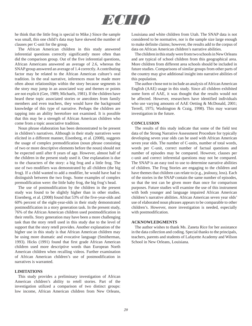

he think that the little frog is special to Mike.) Since the sample was small, this one child's data may have skewed the number of clauses per C-unit for the group.

 The African American children in this study answered inferential questions correctly significantly more often than did the comparison group. Out of the five inferential questions, African Americans answered an average of 2.6, whereas the SNAP group answered an average of 1.4 correctly. A contributing factor may be related to the African American culture's oral tradition. In the oral narrative, inferences must be made more often about relationships within the story because segments in the story may jump in an associated way and themes or points are not explicit (Gee, 1989; Michaels, 1981). If the children have heard these topic associated stories or anecdotes from family members and even teachers, they would have the background knowledge of this type of narrative. Perhaps the children are tapping into an ability heretofore not examined. It is possible that this may be a strength of African American children who come from a topic associative tradition.

 Noun phrase elaboration has been demonstrated to be present in children's narratives. Although in their study narratives were elicited in a different manner, Eisenberg, et al. (2008), suggests the usage of complex premodification (noun phrase consisting of two or more descriptive elements before the noun) should not be expected until after 8 years of age. However, almost half of the children in the present study used it. One explanation is due to the characters of the story: a big frog and a little frog. The use of two modifiers was demonstrated by all children (the big frog). If a child wanted to add a modifier, he would have had to distinguish between the two frogs. Some examples of complex premodification were: the little baby frog, the big frog's head.

 The use of postmodification by the children in the present study was found to be slightly higher than in other studies. Eisenberg, et al. (2008) found that 53% of the five-year-olds and 60% percent of the eight-year-olds in their study demonstrated postmodification in a story generation task. In the present study, 76% of the African American children used postmodification in their retells. Story generation may have been a more challenging task than the story retell used in this study due to the level of support that the story retell provides. Another explanation of the higher use in this study is that African American children may be using more dramatic and evocative language (Smitherman, 1993). Hicks (1991) found that first grade African American children used more descriptive words than European North American children when recalling videos. Further examination of African American children's use of postmodification in narratives is warranted.

#### **LIMITATIONS**

 This study provides a preliminary investigation of African American children's ability to retell stories. Part of the investigation utilized a comparison of two distinct groups: low income, African American children from New Orleans,

Louisiana and white children from Utah. The SNAP data is not considered to be normative, nor is the sample size large enough to make definite claims; however, the results add to the corpus of data on African American children's narrative abilities.

 The children in this study were from two schools in New Orleans and are typical of school children from this geographical area. More children from different area schools should be included in future studies. Comparisons of similar groups from other parts of the country may give additional insight into narrative abilities of this population.

 The author chose not to include an analysis of African American English (AAE) usage in this study. Since all children exhibited some form of AAE, it was thought that the results would not be affected. However, researchers have identified individuals who use varying amounts of AAE Oetting & McDonald, 2001; Terrell, 1975; Washington & Craig, 1998). This may warrant investigation in the future.

#### **CONCLUSION**

 The results of this study indicate that some of the field test data of the Strong Narrative Assessment Procedure for typically developing seven year olds can be used with African American seven year olds. The number of C-units, number of total words, words per C-unit, correct number of factual questions and number of episodes may be compared. However, clauses per c-unit and correct inferential questions may not be compared. The SNAP is an easy tool to use to determine narrative abilities of children. The Frog Stories are engaging to the children and have themes that children can relate to (e.g., jealousy, loss). Each of the stories in the SNAP contain the same number of episodes, so that the test can be given more than once for comparison purposes. Future studies will examine the use of this instrument with both younger and language impaired African American children's narrative abilities. African American seven year olds' use of elaborated noun phrases appears to be comparable to other children's. However, more investigation is needed, especially with postmodification.

#### **ACKNOWLEDGMENTS**

 The author wishes to thank Ms. Zaneta Rice for her assistance in the data collection and coding. Special thanks to the principals, teachers, parents and students of Lafayette Academy and Wilson School in New Orleans, Louisiana.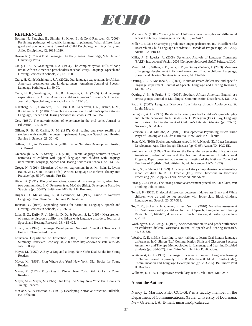

#### **REFERENCES**

- Botting, N., Faragher, B., Simkin, Z., Knox, E., & Conti-Ramsden, G. (2001). Predicting pathways of specific language impairment: What differentiates good and poor outcomes? Journal of Child Psychology and Psychiatry and Allied Disciplines, 42, 1013-1020.
- Brown, R. (1973). A First Language: The Early Stages. Cambridge, MA: Harvard University Press.
- Craig, H. K., & Washington, J. A. (1994). The complex syntax skills of poor, urban, African-American preschoolers at school entry. Language, Speech and Hearing Services in Schools, 25, 181-190.
- Craig, H. K., & Washington, J. A. (2002). Oral language expectations for African American preschoolers and kindergarteners. American Journal of Speech-Language Pathology, 11, 59-70.
- Craig, H. K., Washington, J. A., & Thompson, C. A. (2005). Oral language expectations for African American children in grades 1 through 5. American Journal of Speech-Language Pathology, 14, 119-130.
- Eisenberg, S. L., Ukrainetz, T. A., Hsu, J. R., Kaderavek, J. N., Justice, L. M., & Gillam, R. B. (2008). Noun phrase elaboration in children's spoken stories. Language, Speech and Hearing Services in Schools, 39, 145-157.
- Gee, (1989). The narrativization of experience in the oral style. Journal of Education, 171, 75-96.
- Gillam, R. B., & Carlile, R. M. (1997). Oral reading and story retelling of students with specific language impairment. Language Speech and Hearing Service in Schools, 28, 30 - 42.
- Gillam, R. B., and Pearson, N. A. (2004). Test of Narrative Development. Austin, TX: Pro-ed.
- Greenhalgh, K. S., & Strong, C. J. (2001). Literate language features in spoken narratives of children with typical language and children with language impairments. Language, Speech and Hearing Services in Schools, 32, 114-125.
- Gregg, N. (1991). Disorders of written expression. In A. M. Bain, L. Lyons Bailet, & L. Cook Moats (Eds.) Written Language Disorders: Theory into Practice (pp. 65-97). Austin: Pro-Ed.
- Hicks, B. (1991). Kings of narratives: Genre skills among first graders from two communities. In C. Peterson & A. McCabe (Eds.), Developing Narrative Structure (pp. 55-87). Baltimore, MD: Paul H. Brookes.
- Hughes, D., McGillivray, L., & Schmidek, M. (1997). Guide to Narrative Language. Eau Claire, WI: Thinking Publications.
- Johnson, C. (1995). Expanding norms for narration. Language, Speech and Hearing Services in Schools, 26, 326-341.
- Liles, B. Z., Duffy, R. J., Merritt, D. D., & Purcell, S. L. (1995). Measurement of narrative discourse ability in children with language disorders. Journal of Speech and Hearing Research, 38, 415-425.
- Loban, W. (1976). Language Development. National Council of Teachers of English. Champaign-Urbana, IL.
- Louisiana Department of Education (2009). LEAP District Test Results Summary. Retrieved February 28, 2009 from http://www.doe.state.la.us/lde/ saa/1560.asp.
- Mayer, M. (1967). A Boy, a Dog and a Frog. New York: Dial Books for Young Readers.
- Mayer, M. (1969). Frog Where Are You? New York: Dial Books for Young Readers.
- Mayer, M. (1974). Frog Goes to Dinner. New York: Dial Books for Young Readers.
- Mayer, M. & Mayer, M. (1975). One Frog Too Many. New York: Dial Books for Young Readers.
- McCabe, A., & Peterson, C. (1991). Developing Narrative Structure. Hillsdale, NJ: Erlbaum.
- Michaels, S. (1981). "Sharing time": Children's narrative styles and differential access to literacy. Language in Society, 10, 423-442.
- Miller, J. (1981). Quantifying productive language disorders. In J. F. Miller (Ed.) Research on Child Language Disorders: A Decade of Progress (pp. 211-220). Austin, TX: Pro-Ed.
- Miller, J., & Iglesias, A. (2008). Systematic Analysis of Language Transcripts (SALT), Instructional Version 2008 [Computer Software], SALT Software, LLC.
- Munoz, M. L., Gillam, R. B., Pena, E. D., & Gulley-Faehnle, A. (2003). Measures of language development in fictional narratives of Latino children. Language, Speech and Hearing Services in Schools, 34, 332-342.
- Oetting, J.B. & McDonald, J. (2001). Nonmainstream dialect use and specific language impairment. Journal of Speech, Language and Hearing Research, 44, 207-223.
- Oetting, J. B., & Pruitt, S. L. (2005). Southern African American English use across groups. Journal of Multilingual Communication Disorders, 3, 136–144.
- Paul, R. (2007). Language Disorders from Infancy through Adolescence. St. Louis: Mosby.
- Pellegrini, A. D. (1985). Relations between preschool children's symbolic play and literate behaviors. In L. Galda & A. D. Pellegrini (Eds.), Play, Language and Stories: The Development of Children's Literate Behavior (pp. 79-97). Norwood, NJ: Ablex.
- Peterson, C., & McCabe, A. (1983). Developmental Psycholinguistics: Three Ways of Looking at a Child's Narrative. New York, NY: Plenum.
- Scott, C. M. (1988). Spoken and written syntax. In M. A. Nippold (Ed.) Later Language Development: Ages Nine through Nineteen (pp. 49-95). Austin, TX: PRO-ED.
- Smitherman, G. (1993). The Blacker the Berry, the Sweeter the Juice: African American Student Writers and the National Assessment of Educational Progress. Paper presented at the Annual meeting of the National Council of Teachers of English (83rd, Pittsburgh, PA, November 17-22, 1993).
- Stein, N., & Glenn, C. (1979). An analysis of story comprehension in elementary school children. In R. O. Freedle (Ed.), New Directions in Discourse Processing (Vol. 2, pp. 53-120). Norwood, NJ: Ablex.
- Strong, C. J. (1998). The Strong narrative assessment procedure. Eau Claire, WI: Thinking Publications.
- Terrell, F. (1975). Dialectal differences between middle-class Black and White children who do and do not associate with lower-class Black children. Language and Speech, 20, 377-383.
- To, C. K., Stokes, S. F., Cheung, H., & T'sou, B. (2010). Narrative assessment for Cantonese-speaking children. Journal of Speech, Language, and Hearing Research, 53, 648-669, downloaded from http://www.jslhr.asha.org on June 7, 2010.
- Washington, J., & Craig, H. (1998). Socioeconomic status and gender influences on children's dialectal variations. Journal of Speech and Hearing Research, 41, 618-626.
- Westby, C. E. (1991). Learning to talk- talking to learn: Oral literate language differences. In C. Simon (Ed.) Communication Skills and Classroom Success: Assessment and Therapy Methodologies for Language and Learning Disabled Students (pp. 334-357). Eau Claire, WI: Thinking Publications.
- Whitehurst, G. J. (1997). Language processes in context: Language learning in children reared in poverty. In L. B. Adamson & M. A. Romski (Eds.), Communication and Language Development (pp. 233-265). Baltimore: Paul H. Brookes.
- Williams, K. (1997). Expressive Vocabulary Test. Circle Pines, MN: AGS.

#### **About the Author**

Nancy L. Martino, PhD, CCC-SLP is a faculty member in the Department of Communications, Xavier University of Louisiana, New Orleans, LA, E-mail: nmartino@xula.edu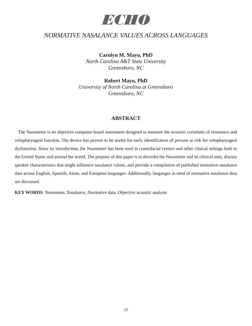

### *NORMATIVE NASALANCE VALUES ACROSS LANGUAGES*

**Carolyn M. Mayo, PhD** 

*North Carolina A&T State University Greensboro, NC*

**Robert Mayo, PhD** 

*University of North Carolina at Greensboro Greensboro, NC*

#### **ABSTRACT**

 The Nasometer is an objective computer-based instrument designed to measure the acoustic correlates of resonance and velopharyngeal function. The device has proven to be useful for early identification of persons at risk for velopharyngeal dysfunction. Since its introduction, the Nasometer has been used in craniofacial centers and other clinical settings both in the United States and around the world. The purpose of this paper is to describe the Nasometer and its clinical uses, discuss speaker characteristics that might influence nasalance values, and provide a compilation of published normative nasalance data across English, Spanish, Asian, and European languages. Additionally, languages in need of normative nasalance data are discussed.

**KEY WORDS**: Nasometer, Nasalance, Normative data, Objective acoustic analysis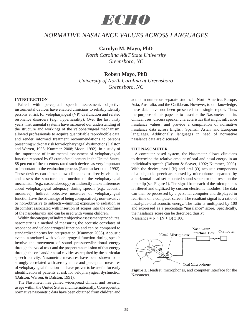

### *NORMATIVE NASALANCE VALUES ACROSS LANGUAGES*

**Carolyn M. Mayo, PhD** 

*North Carolina A&T State University Greensboro, NC*

#### **Robert Mayo, PhD**

*University of North Carolina at Greensboro Greensboro, NC*

#### **INTRODUCTION**

 Paired with perceptual speech assessment, objective instrumental devices have enabled clinicians to reliably identify persons at risk for velopharyngeal (VP) dysfunction and related resonance disorders (e.g., hypernasality). Over the last thirty years, instrumental systems have increased our understanding of the structure and workings of the velopharyngeal mechanism, allowed professionals to acquire quantifiable reproducible data, and render informed treatment recommendations to persons presenting with or at risk for velopharyngeal dysfunction (Dalston and Warren, 1985; Kummer, 2008; Moon, 1992). In a study of the importance of instrumental assessment of velopharyngeal function reported by 63 craniofacial centers in the United States, 88 percent of these centers rated such devices as very important or important to the evaluation process (Pannbacker et al. 1992). These devices can either allow clinicians to directly visualize and assess the structure and function of the velopharyngeal mechanism (e.g., nasoendoscopy) or indirectly make inferences about velopharyngeal adequacy during speech (e.g., acoustic measures). Indirect objective measures of velopharyngeal function have the advantage of being comparatively non-invasive or non-obtrusive to subjects---limiting exposure to radiation or discomfort associated with insertion of scopes into the confines of the nasopharynx and can be used with young children.

 Within the category of indirect objective assessment procedures, nasometry is a method of measuring the acoustic correlates of resonance and velopharyngeal function and can be compared to standardized norms for interpretation (Kummer, 2008). Acoustic events associated with velopharyngeal function during speech involve the movement of sound pressure/vibrational energy through the vocal tract and the proper transmission of that energy through the oral and/or nasal cavities as required by the particular speech activity. Nasometric measures have been shown to be strongly correlated with aerodynamic and perceptual measures of velopharyngeal function and have proven to be useful for early identification of patients at risk for velopharyngeal dysfunction (Dalston, Warren, & Dalston, 1991).

 The Nasometer has gained widespread clinical and research usage within the United States and internationally. Consequently, normative nasometric data have been obtained from children and adults in numerous separate studies in North America, Europe, Asia, Australia, and the Caribbean. However, to our knowledge, these data have not been presented in a single report. Thus, the purpose of this paper is to describe the Nasometer and its clinical uses, discuss speaker characteristics that might influence nasalance values, and provide a compilation of normative nasalance data across English, Spanish, Asian, and European languages. Additionally, languages in need of normative nasalance data are discussed.

#### **THE NASOMETER**

 A computer based system, the Nasometer allows clinicians to determine the relative amount of oral and nasal energy in an individual's speech (Dalston & Seaver, 1992; Kummer, 2008). With the device, nasal (N) and oral (O) acoustic components of a subject's speech are sensed by microphones separated by a horizontal head set-mounted sound separator that rests on the upper lip (see Figure 1). The signal from each of the microphones is filtered and digitized by custom electronic modules. The data can then be processed by a personal computer and displayed in real-time on a computer screen. The resultant signal is a ratio of nasal-plus-oral acoustic energy. The ratio is multiplied by 100 and expressed as a percentage "nasalance" score. Specifically, the nasalance score can be described thusly: Nasalance =  $N \div (N + O)$  x 100.



**Figure 1.** Headset, microphones, and computer interface for the **Nasometer**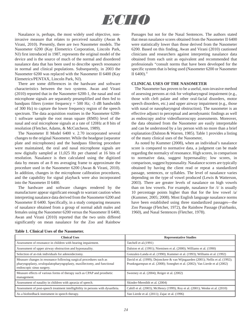

 Nasalance is, perhaps, the most widely used objective, noninvasive measure that relates to perceived nasality (Awan & Virani, 2010). Presently, there are two Nasometer models. The Nasometer 6200 (Kay Elemetrics Corporation, Lincoln Park, NJ) first introduced in 1987, represents the original model of the device and is the source of much of the normal and disordered nasalance data that has been used to describe speech resonance in normal and clinical populations. Subsequently, in 2003 the Nasometer 6200 was replaced with the Nasometer II 6400 (Kay Elemetrics/PENTAX, Lincoln Park, NJ).

 There are some differences in the hardware and software characteristics between the two systems. Awan and Virani (2010) reported that in the Nasometer 6200-1, the nasal and oral microphone signals are separately preamplified and then fed to bandpass filters (center frequency  $= 500$  Hz;  $-3$  dB bandwidth of 300 Hz) to capture the lower frequency region of the speech spectrum. The data acquisition routines in the Nasometer 6200- 1 software sample the root mean square (RMS) level of the nasal and oral microphone signals at a rate of 120Hz at 8 bits of resolution (Fletcher, Adams, & McCutcheon, 1989).

 The Nasometer II Model 6400 v. 2.70 incorporated several changes to the original Nasometer. While the headgear (separator plate and microphones) and the bandpass filtering procedure were maintained, the oral and nasal microphone signals are now digitally sampled at 11,025 Hz per channel at 16 bits of resolution. Nasalance is then calculated using the digitized data by means of an 8 ms averaging frame to approximate the procedure used in the Nasometer 6200 (Awan & Virani, 2010). In addition, changes in the microphone calibration procedures, and the capability for signal playback were also incorporated into the Nasometer II 6400.

 The hardware and software changes rendered by the manufacturer appear significant enough to warrant caution when interpreting nasalance data derived from the Nasometer 6200 and Nasometer II 6400. Specifically, in a study comparing measures of nasalance obtained from a group of normal adult males and females using the Nasometer 6200 versus the Nasometer II 6400, Awan and Virani (2010) reported that the two units differed significantly on mean nasalance for the Zoo and Rainbow

Passages but not for the Nasal Sentences. The authors stated that mean nasalance scores obtained from the Nasometer II 6400 were statistically lower than those derived from the Nasometer 6200. Based on this finding, Awan and Virani (2010) cautioned clinicians and researchers against interpreting nasalance data obtained from each unit as equivalent and recommended that professionals "consult norms that have been developed for the specific system that is being used (Nasometer 6200 or Nasometer II 6400)."

#### **CLINICAL USES OF THE NASOMETER**

 The Nasometer has proven to be a useful, non-invasive method of assessing persons at risk for velopharyngeal impairment (e.g., those with cleft palate and other oral-facial disorders, motor speech disorders, etc.) and upper airway impairment (e.g., those with nasal or nasopharyngeal obstruction). The nasometer is an effective adjunct to perceptual and aerodynamic findings as well as endoscopy and/or videofluoroscopy assessments. Moreover, the data obtained from the Nasometer are easily interpretable and can be understood by a lay person with no more than a brief explanation (Dalston & Warren, 1985). Table 1 provides a listing of the many clinical uses of the Nasometer,

 As noted by Kummer (2008), when an individual's nasalance score is compared to normative data, a judgment can be made regarding the normalcy of resonance. High scores, in comparison to normative data, suggest hypernasality; low scores, in comparison, suggest hyponasality. Nasalance scores are typically obtained by having the client read or repeat a standardized passage, sentences, or syllables. The level of nasalance varies depending on the type of vowel produced (Lewis & Watterson, 2003). There are greater levels of nasalance on high vowels than on low vowels. For example, nasalance for /i/ is usually 10 percentage points higher than that for the low vowel /a/ (Kummer, 2005; 2008). Most English language nasalance norms have been established using three standardized passages---the Zoo Passage (Fletcher, 1972), the Rainbow Passage (Fairbanks, 1960), and Nasal Sentences (Fletcher, 1978).

| <b>Clinical Uses</b>                                                                                                                                                       | <b>Representative Studies</b>                                                                                                                                   |
|----------------------------------------------------------------------------------------------------------------------------------------------------------------------------|-----------------------------------------------------------------------------------------------------------------------------------------------------------------|
| Assessment of resonance in children with hearing impairment.                                                                                                               | Tatchell et al. (1991)                                                                                                                                          |
| Assessment of upper airway obstruction and hyponasality.                                                                                                                   | Dalston et al. (1991); Nieminen et al. (2000); Williams et al. (1990)                                                                                           |
| Selection of at-risk individuals for adenoidectomy.                                                                                                                        | Gonzalez-Landa et al. (1990); Kummer et al. (1993); Williams et al. (1992)                                                                                      |
| Measure changes in resonance following surgical procedures such as<br>pharyngoplasty, uvulopalatopharyngoplasty, maxillectomy, and functional<br>endoscopic sinus surgery. | David et al. (1999); Dejonckere & van Wijngaarden (2001); Nellis et al. (1992);<br>Prunkngarmpun et al. (2008); Soneghet et al. (2002); Van Lierde et al (2002) |
| Measure effects of various forms of therapy such as CPAP and prosthetic<br>management.                                                                                     | Sweeney et al. $(2004)$ ; Reiger et al. $(2002)$                                                                                                                |
| Assessment of nasality in children with apraxia of speech.                                                                                                                 | Skinder-Meredith et al. (2004)                                                                                                                                  |
| Assessment of post-speech treatment intelligibility in persons with dysarthria.                                                                                            | Cahill et al. (2003); McHenry (1999); Roy et al. (2001); Wenke et al. (2010)                                                                                    |
| As a biofeedback instrument in speech therapy.                                                                                                                             | Van Lierde et al. (2011); Zajac et al. (1996)                                                                                                                   |

| <b>Table 1. Clinical Uses of the Nasometer.</b> |
|-------------------------------------------------|
|-------------------------------------------------|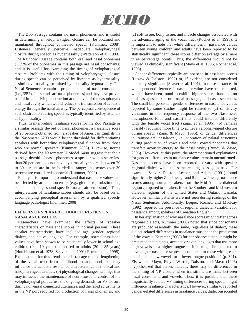

 The Zoo Passage contains no nasal phonemes and is useful in determining if velopharyngeal closure can be obtained and maintained throughout connected speech (Kummer, 2008). Listeners generally perceive inadequate velopharyngeal closure during speech as hypernasality (Watterson et al. 1993). The Rainbow Passage contains both oral and nasal phonemes (11.5% of the phonemes in this passage are nasal consonants) and it is useful for examining the timing of velopharyngeal closure. Problems with the timing of velopharyngeal closure during speech can be perceived by listeners as hypernasality, assimilative nasality, or mixed hypernasality-hyponasality. The Nasal Sentences contain a preponderance of nasal consonants (i.e., 35% of its sounds are nasal phonemes) and they have proven useful in identifying obstruction at the level of the nasopharynx and nasal cavity which would reduce the transmission of acoustic energy through the nasal airway. The perceptual consequence of such obstruction during speech is typically identified by listeners as hyponasality.

 Thus, in interpreting nasalance scores for the Zoo Passage or a similar passage devoid of nasal phonemes, a nasalance score of 28 percent obtained from a speaker of American English via the Nasometer 6200 would be the threshold for differentiating speakers with borderline velopharyngeal function from those who are normal speakers (Kummer, 2008). Likewise, norms derived from the Nasometer II Model 6400 suggest that for a passage devoid of nasal phonemes, a speaker with a score less than 20 percent does not have hypernasality; scores between 20 to 30 percent are in the borderline range; and scores over 30 percent are considered abnormal (Kummer, 2008).

 Finally, it is important to understand that nasalance values can be affected by articulation errors (e.g., glottal stop substitutions, sound deletions, sound-specific nasal air emission). Thus, interpretation of nasalance scores should also be based on an accompanying perceptual assessment by a qualified speechlanguage pathologist (Kummer, 2008).

#### **EFFECTS OF SPEAKER CHARACTERISTICS ON NASALANCE VALUES**

 Researchers have examined the effects of speaker characteristics on nasalance scores in normal persons. These speaker characteristics have included age, gender, regional dialect, and native language. For example, normal nasalance values have been shown to be statistically lower in school age children  $(9 - 19$  years) compared to adults  $(20 - 85$  years) (Hutchinson et al. 1978; Seaver et al. 1991; Rochet et al., 1998). Explanations for this trend include (a) age-related lengthening of the vocal tract from childhood to adulthood that may influence the acoustic resonance characteristics of the oral and nasopharyngeal cavities; (b) physiological changes with age that may influence the maintenance of neuromuscular control of the velopharyngeal port across the ongoing demands for VP closure during non-nasal connected utterances, and the rapid adjustments in the VP port required for production of nasal phonemes; and

(c) soft tissue, bony tissue, and muscle changes associated with the advanced aging of the vocal tract (Rochet et al. 1998). It is important to note that while differences in nasalance values between young children and adults have been reported to be statistically significant, these scores differ on average by a mere three percentage points. Thus, the differences would not be viewed as clinically significant (Mayo et al. 1996; Rochet et al. 1998).

 Gender differences typically are not seen in nasalance scores (Litzaw & Dalston, 1992) or, if evident, are not considered clinically significant (Seaver et al. 1991). In those instances in which gender differences in nasalance values have been reported, women have been found to exhibit higher scores than men on oral passages, mixed oral-nasal passages, and nasal sentences. The small but persistent gender differences in nasalance values reported by some studies might be related to (a) sensitivity variations in the frequency response of the two Nasometer microphones (oral and nasal) that could interact differently with the female vocal tract (Zajac et al. 1996); (b) females possibly requiring more time to achieve velopharyngeal closure during speech (Zajac & Mayo, 1996); or gender differences in 'transpalatal nasalance', i.e., vibration of palatal structures during production of vowels and other voiced phonemes that transfers acoustic energy to the nasal cavity (Bundy & Zajac, 2006). However, at this point, the aforementioned explanations for gender differences in nasalance values remain unconfirmed. Nasalance scores have been reported to vary with speaker regional dialect when the same reading passage is used. For example, Seaver, Dalston, Leeper, and Adams (1991) found significantly higher Zoo Passage and Rainbow Passage nasalance scores among normal speakers from the Mid-Atlantic dialectal region compared to speakers from the Southern and Mid-western dialectal regions of the United States and Ontario, Canada. However, similar patterns were not seen during readings of the Nasal Sentences. Additionally, Leeper, Rochet, and MacKay (1992) reported the presence of regional dialectal variations for nasalance among speakers of Canadian English.

 In her explanation of why nasalance scores might differ across regional dialects, Kummer (2008) noted that since consonants are produced essentially the same, regardless of dialect, these dialect-related differences in nasalance must be in the production of the vowels. Kummer (2008) further observed that "it might be presumed that dialects, accents, or even languages that use more high vowels or a higher tongue position might be expected to have higher nasalance scores as compared to those with greater incidence of low vowels or a lower tongue position." (p. 391). Elsewhere, Mayo, Floyd, Warren, Dalston, and Mayo (1996) hypothesized that across dialects, there may be differences in the timing of VP closure when transitions are made between nasal consonants and vowels. Thus, it is possible that these linguistically-related VP timing differences during speech might influence nasalance characteristics. However, similar to reported gender-related differences in nasalance values, dialect-associated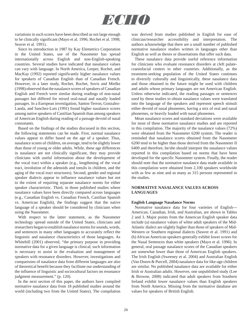

variations in such scores have been described as not large enough to be clinically significant (Mayo et al. 1996; Rochet et al. 1998; Seaver et al. 1991).

 Since its introduction in 1987 by Kay Elemetrics Corporation in the United States, use of the Nasometer has spread internationally across English and non-English-speaking countries. Several studies have indicated that nasalance values can vary with language. In North America, Leeper, Rochet, and MacKay (1992) reported significantly higher nasalance values for speakers of Canadian English than of Canadian French. However, in a later study, Rochet, Rochet, Sovis and Mielke (1998) observed that the nasalance scores of speakers of Canadian English and French were similar during readings of non-nasal passages but differed for mixed oral-nasal and nasally loaded passages. In a European investigation, Santos-Terron, Gonzalez-Landa, and Sanchez-Luis (1991) found higher nasalance scores among native speakers of Castilian Spanish than among speakers of American English during reading of a passage devoid of nasal consonants.

 Based on the findings of the studies discussed in this section, the following statements can be made. First, normal nasalance values appear to differ based on the age of a speaker. Thus, nasalance scores of children, on average, tend to be slightly lower than those of young or older adults. While, these age differences in nasalance are not clinically significant, they may provide clinicians with useful information about the development of the vocal tract within a speaker (e.g., lengthening of the vocal tract, involution of the adenoids and tonsils in children, and the aging of the vocal tract structures). Second, gender and regional speaker dialects appear to influence nasalance values but not to the extent of requiring separate nasalance norms for either speaker characteristic. Third, in those published studies where nasalance values have been directly compared across languages (e.g., Canadian English vs. Canadian French, Castilian Spanish vs. American English), the findings suggest that the native language of a speaker should be considered by clinicians when using the Nasometer.

 With respect to the latter statement, as the Nasometer technology spread outside of the United States, clinicians and researchers began to establish nasalance norms for sounds, words, and sentences in many other languages to accurately reflect the linguistic and nasalance characteristics of those languages. As Whitehill (2001) observed, "the primary purpose in providing normative data for a given language is clinical; such information is necessary to assist in the evaluation and management of speakers with resonance disorders. However, investigations and comparisons of nasalance data from different languages are also of theoretical benefit because they facilitate our understanding of the influence of linguistic and sociocultural factors on resonance judgment measurement." (p. 120).

 In the next section of this paper, the authors have compiled normative nasalance data from 18 published studies around the world (including two from the United States). The compilation

was derived from studies published in English for ease of clinician/researcher accessibility and interpretation. The authors acknowledge that there are a small number of published normative nasalance studies written in languages other than English as well as theses or dissertations that offer such data.

 These nasalance data provide useful reference information for clinicians who evaluate resonance disorders at cleft palatecraniofacial centers in other countries. Additionally, as the treatment-seeking population of the United States continues to diversify culturally and linguistically, these nasalance data and those obtained in the future might be used with children and adults whose primary languages are not American English. Unless otherwise indicated, the reading passages or sentences used by these studies to obtain nasalance values were translated into the language of the speakers and represent speech stimuli either devoid of nasal phonemes, having a mix of oral and nasal phonemes, or heavily loaded with nasal phonemes.

 Mean nasalance scores and standard deviations were available for most of these normative nasalance studies and are reported in this compilation. The majority of the nasalance values (72%) were obtained from the Nasometer 6200 system. The reader is reminded that nasalance scores obtained from the Nasometer 6200 tend to be higher than those derived from the Nasometer II 6400 and therefore, he/she should interpret the nasalance values reported in this compilation based on norms that have been developed for the specific Nasometer system. Finally, the reader should note that the normative nasalance data made available in this compilation were obtained from 2,100 speakers worldwide with as few as nine and as many as 315 persons represented in the studies.

#### **NORMATIVE NASALANCE VALUES ACROSS LANGUAGES**

#### **English Language Nasalance Norms**

 Normative nasalance data for four varieties of English--- American, Canadian, Irish, and Australian, are shown in Tables 2 and 3. Major points from the American English speaker data include (a) nasalance values of white adult speakers of the Mid-Atlantic dialect are slightly higher than those of speakers of Mid-Western or Southern regional dialects (Seaver et al. 1991) and (b) African American speakers generally exhibit lower scores for the Nasal Sentences than white speakers (Mayo et al. 1996). In general, oral passage nasalance scores of the Canadian speakers are somewhat lower than those of American English speakers. The Irish English (Sweeney et al. 2004) and Australian English (Van Doorn & Purcell, 2004) nasalance data for like-age children are similar. No published nasalance data are available for either Irish or Australian adults. However, one unpublished study (Lee & Browne, 2008) indicated that adult speakers from Southern Ireland exhibit lower nasalance values than English speakers from North America. Missing from the normative database are values for speakers of British English.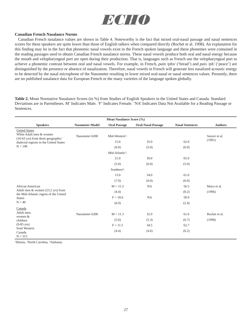

#### **Canadian French Nasalance Norms**

 Canadian French nasalance values are shown in Table 4. Noteworthy is the fact that mixed oral-nasal passage and nasal sentences scores for these speakers are quite lower than those of English talkers when compared directly (Rochet et al. 1998). An explanation for this finding may lie in the fact that phonemic nasal vowels exist in the French spoken language and these phonemes were contained in the reading passages used to obtain Canadian French nasalance norms. These nasal vowels produce both oral and nasal energy because the mouth and velopharyngeal port are open during their production. That is, languages such as French use the velopharyngeal port to achieve a phonemic contrast between oral and nasal vowels. For example, in French, *pain* /pɛn/ ('bread') and *paix* /pɛ̃/ ('peace') are distinguished by the presence or absence of nasalization. Therefore, nasal vowels in French will generate less nasalized acoustic energy to be detected by the nasal microphone of the Nasometer resulting in lower mixed oral-nasal or nasal sentences values. Presently, there are no published nasalance data for European French or the many varieties of the language spoken globally.

**Table 2.** Mean Normative Nasalance Scores (in %) from Studies of English Speakers in the United States and Canada. Standard Deviations are in Parentheses. M' Indicates Male. 'F' Indicates Female. 'NA' Indicates Data Not Available for a Reading Passage or Sentences.

| Mean Nasalance Score (%)                                                              |                        |                             |                           |                        |                |  |  |
|---------------------------------------------------------------------------------------|------------------------|-----------------------------|---------------------------|------------------------|----------------|--|--|
| <b>Speakers</b>                                                                       | <b>Nasometer Model</b> | <b>Oral Passage</b>         | <b>Oral-Nasal Passage</b> | <b>Nasal Sentences</b> | <b>Authors</b> |  |  |
| <b>United States</b><br>White Adult men & women<br>(16-63 yrs) from three geographic/ | Nasometer 6200         | Mid-Western <sup>1</sup> :  |                           |                        | Seaver et al.  |  |  |
| dialectal regions in the United States                                                |                        | 15.0                        | 35.0                      | 62.0                   | (1991)         |  |  |
| $N = 148$                                                                             |                        | (6.0)                       | (5.0)                     | (6.0)                  |                |  |  |
|                                                                                       |                        | Mid-Atlantic <sup>2</sup> : |                           |                        |                |  |  |
|                                                                                       |                        | 21.0                        | 39.0                      | 65.0                   |                |  |  |
|                                                                                       |                        | (5.0)                       | (6.0)                     | (5.0)                  |                |  |  |
|                                                                                       |                        | Southern <sup>3</sup> :     |                           |                        |                |  |  |
|                                                                                       |                        | 13.0                        | 34.0                      | 61.0                   |                |  |  |
|                                                                                       |                        | (7.0)                       | (6.0)                     | (6.0)                  |                |  |  |
| African American                                                                      |                        | $M = 15.3$                  | <b>NA</b>                 | 56.5                   | Mayo et al.    |  |  |
| Adult men & women (23.2 yrs) from<br>the Mid-Atlantic region of the United            |                        | (4.4)                       |                           | (8.2)                  | (1996)         |  |  |
| <b>States</b>                                                                         |                        | $F = 18.6$                  | <b>NA</b>                 | 58.9                   |                |  |  |
| $N = 40$                                                                              |                        | (6.0)                       |                           | (2.4)                  |                |  |  |
| Canada                                                                                |                        |                             |                           |                        |                |  |  |
| Adult men,<br>women &                                                                 | Nasometer 6200         | $M = 11.3$                  | 32.9                      | 61.6                   | Rochet et al.  |  |  |
| children                                                                              |                        | (5.0)                       | (5.3)                     | (6.7)                  | (1998)         |  |  |
| $(9-85 \text{ yrs})$                                                                  |                        | $F = 11.5$                  | 34.5                      | 62.7                   |                |  |  |
| from Western<br>Canada<br>$N = 315$                                                   |                        | (4.4)                       | (4.6)                     | (6.2)                  |                |  |  |

1 Illinois, 2 North Carolina, 3 Alabama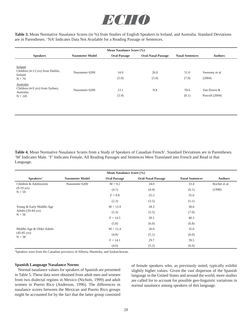

**Table 3.** Mean Normative Nasalance Scores (in %) from Studies of English Speakers in Ireland, and Australia. Standard Deviations are in Parentheses. 'NA' Indicates Data Not Available for a Reading Passage or Sentences.

| Mean Nasalance Score (%)                                               |                        |                     |                           |                        |                                 |  |  |
|------------------------------------------------------------------------|------------------------|---------------------|---------------------------|------------------------|---------------------------------|--|--|
| <b>Speakers</b>                                                        | <b>Nasometer Model</b> | <b>Oral Passage</b> | <b>Oral-Nasal Passage</b> | <b>Nasal Sentences</b> | <b>Authors</b>                  |  |  |
| Ireland<br>Children (4-13 yrs) from Dublin,<br>Ireland<br>$N = 70$     | Nasometer 6200         | 14.0<br>(5.0)       | 26.0<br>(5.0)             | 51.0<br>(7.0)          | Sweeney et al.<br>(2004)        |  |  |
| Australia<br>Children (4-9 yrs) from Sydney,<br>Australia<br>$N = 245$ | Nasometer 6200         | 13.1<br>(5.9)       | <b>NA</b>                 | 59.6<br>(8.1)          | Van Doorn &<br>Purcell $(2004)$ |  |  |

Table 4. Mean Normative Nasalance Scores from a Study of Speakers of Canadian French<sup>1</sup>. Standard Deviations are in Parentheses. 'M' Indicates Male. 'F' Indicates Female. All Reading Passages and Sentences Were Translated into French and Read in that Language.

| Mean Nasalance Score (%)                 |                        |                     |                           |                        |                |  |  |  |
|------------------------------------------|------------------------|---------------------|---------------------------|------------------------|----------------|--|--|--|
| Speakers <sup>1</sup>                    | <b>Nasometer Model</b> | <b>Oral Passage</b> | <b>Oral-Nasal Passage</b> | <b>Nasal Sentences</b> | <b>Authors</b> |  |  |  |
| Children & Adolescents                   | Nasometer 6200         | $M = 9.2$           | 24.0                      | 33.4                   | Rochet et al.  |  |  |  |
| $(9-19 \text{ yrs})$<br>$N = 59$         |                        | (4.1)               | (4.4)                     | (6.1)                  | (1998)         |  |  |  |
|                                          |                        | $F = 8.8$           | 25.3                      | 35.6                   |                |  |  |  |
|                                          |                        | (2.3)               | (3.5)                     | (5.1)                  |                |  |  |  |
| Young & Early Middle-Age                 |                        | $M = 13.9$          | 28.3                      | 38.6                   |                |  |  |  |
| Adults $(20-44 \text{ yrs})$<br>$N = 56$ |                        | (5.3)               | (5.5)                     | (7.0)                  |                |  |  |  |
|                                          |                        | $F = 14.5$          | 30.1                      | 40.3                   |                |  |  |  |
|                                          |                        | (5.8)               | (6.0)                     | (6.8)                  |                |  |  |  |
| Middle-Age & Older Adults                |                        | $M = 12.4$          | 26.0                      | 35.0                   |                |  |  |  |
| $(45-85 \text{ yrs})$<br>$N = 38$        |                        | (4.8)               | (5.1)                     | (6.0)                  |                |  |  |  |
|                                          |                        | $F = 14.1$          | 29.7                      | 39.5                   |                |  |  |  |
|                                          |                        | (4.6)               | (5.2)                     | (6.6)                  |                |  |  |  |

1 Speakers were from the Canadian provinces of Alberta, Manitoba, and Saskatchewan.

#### **Spanish Language Nasalance Norms**

 Normal nasalance values for speakers of Spanish are presented in Table 5. These data were obtained from adult men and women from two dialectal regions in Mexico (Nichols, 1999) and adult women in Puerto Rico (Anderson, 1996). The differences in nasalance scores between the Mexican and Puerto Rico groups might be accounted for by the fact that the latter group consisted

of female speakers who, as previously noted, typically exhibit slightly higher values. Given the vast disperson of the Spanish language in the United States and around the world, more studies are called for to account for possible geo-linguistic variations in normal nasalance among speakers of this language.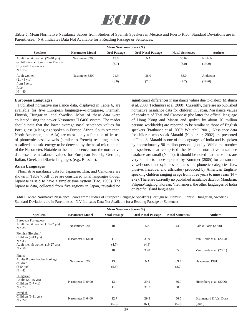

**Table 5.** Mean Normative Nasalance Scores from Studies of Spanish Speakers in Mexico and Puerto Rico. Standard Deviations are in Parentheses. 'NA' Indicates Data Not Available for a Reading Passage or Sentences.

| Mean Nasalance Score (%)                                                        |                        |                     |                           |                        |                |  |  |
|---------------------------------------------------------------------------------|------------------------|---------------------|---------------------------|------------------------|----------------|--|--|
| <b>Speakers</b>                                                                 | <b>Nasometer Model</b> | <b>Oral Passage</b> | <b>Oral-Nasal Passage</b> | <b>Nasal Sentences</b> | <b>Authors</b> |  |  |
| Adult men $&$ women (20-40 yrs)                                                 | Nasometer 6200         | 17.0                | <b>NA</b>                 | 55.62                  | <b>Nichols</b> |  |  |
| & children $(6-13 \text{ yrs})$ from Mexico<br>City and Cuernavaca<br>$N = 152$ |                        | (6.7)               |                           | (6.0)                  | (1999)         |  |  |
| Adult women                                                                     | Nasometer 6200         | 21.9                | 36.0                      | 63.0                   | Anderson       |  |  |
| $(21-43 \text{ yrs})$<br>from Puerto<br>Rico<br>$N = 40$                        |                        | (8.6)               | (7.0)                     | (7.7)                  | (1996)         |  |  |

#### **European Languages**

 Published normative nasalance data, displayed in Table 6, are available for five European languages---Portuguese, Flemish, Finnish, Hungarian, and Swedish. Most of these data were collected using the newer Nasometer II 6400 system. The reader should note that the lower average nasal sentences values for Portuguese (a language spoken in Europe, Africa, South America, North American, and Asia) are most likely a function of its use of phonemic nasal vowels (similar to French) resulting in less nasalized acoustic energy to be detected by the nasal microphone of the Nasometer. Notable in the their absence from the normative database are nasalance values for European French, German, Italian, Greek and Slavic languages (e.g., Russian).

#### **Asian Languages**

 Normative nasalance data for Japanese, Thai, and Cantonese are shown in Table 7. All three are considered tonal languages though Japanese is said to have a simpler tone system (Bao, 1999). The Japanese data, collected from five regions in Japan, revealed no significance differences in nasalance values due to dialect (Mishima et al. 2008; Tachimura et al. 2000). Currently, there are no published normative nasalance data for children in Japan. Nasalance values of speakers of Thai and Cantonese (the latter the official language of Hong Kong and Macau and spoken by about 70 million persons worldwide) are reported to be similar to those of English speakers (Prathanee et al. 2003; Whitehill 2001). Nasalance data for children who speak Marathi (Nandurkar, 2002) are presented in Table 8. Marathi is one of the languages of India and is spoken by approximately 90 million persons globally. While the number of speakers that comprised the Marathi normative nasalance database are small  $(N = 9)$ , it should be noted that the values are very similar to those reported by Kummer (2005) for consonantvowel-consonant syllables of the same phonetic categories (i.e., plosive, fricative, and affricates) produced by American Englishspeaking children ranging in age from three years to nine years  $(N =$ 272). There are currently no published nasalance data for Mandarin, Filipino/Tagalog, Korean, Vietnamese, the other languages of India or Pacific Island languages.

**Table 6.** Mean Normative Nasalance Scores from Studies of European Language Speakers (Portuguese, Flemish, Finnish, Hungarian, Swedish). Standard Deviations are in Parentheses. 'NA' Indicates Data Not Available for a Reading Passage or Sentences.

| Mean Nasalance Score (%)                                                                 |                        |                     |                           |                        |                                 |  |  |
|------------------------------------------------------------------------------------------|------------------------|---------------------|---------------------------|------------------------|---------------------------------|--|--|
| <b>Speakers</b>                                                                          | <b>Nasometer Model</b> | <b>Oral Passage</b> | <b>Oral-Nasal Passage</b> | <b>Nasal Sentences</b> | <b>Authors</b>                  |  |  |
| European Portuguese<br>Adult men & women (19-27 yrs)<br>$N = 25$                         | Nasometer 6200         | 10.0                | <b>NA</b>                 | 44.0                   | Falé & Faria (2008)             |  |  |
| Flemish (Belgium)<br>Children (7-13 yrs)<br>$N = 33$<br>Adult men & women (19-27 yrs)    | Nasometer II 6400      | 11.3<br>(4.7)       | 31.9<br>(4.8)             | 51.6                   | Van Lierde et al. (2003)        |  |  |
| $N = 58$                                                                                 |                        | 10.9                | 33.8                      | 55.8                   | Van Lierde et al. (2001)        |  |  |
| Finnish<br>Adults & preschool/school age<br>children<br>$(3-54 \text{ yrs})$<br>$N = 42$ | Nasometer 6200         | 13.6<br>(5.6)       | <b>NA</b>                 | 69.4<br>(8.2)          | Haapanen (1991)                 |  |  |
| Hungarian<br>Adults $(20-25 \text{ yrs})$<br>Children (5-7 yrs)<br>$N = 75$              | Nasometer II 6400      | 13.4<br>11.0        | 39.5<br>31.7              | 56.0<br>50.6           | Hirschberg et al. (2006)        |  |  |
| Swedish<br>Children (6-11 yrs)<br>$N = 245$                                              | Nasometer II 6400      | 12.7<br>(5.6)       | 29.5<br>(6.1)             | 56.5<br>(6.0)          | Brunnegard & Van Dorn<br>(2009) |  |  |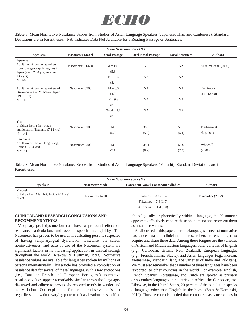

**Table 7.** Mean Normative Nasalance Scores from Studies of Asian Language Speakers (Japanese, Thai, and Cantonese). Standard Deviations are in Parentheses. 'NA' Indicates Data Not Available for a Reading Passage or Sentences.

| Mean Nasalance Score (%)                                                                                                             |                        |                                   |                           |                        |                              |  |  |
|--------------------------------------------------------------------------------------------------------------------------------------|------------------------|-----------------------------------|---------------------------|------------------------|------------------------------|--|--|
| <b>Speakers</b>                                                                                                                      | <b>Nasometer Model</b> | <b>Oral Passage</b>               | <b>Oral-Nasal Passage</b> | <b>Nasal Sentences</b> | <b>Authors</b>               |  |  |
| Japanese<br>Adult men & women speakers<br>from four geographic regions in<br>Japan (men: 23.8 yrs; Women:<br>$23.2$ yrs)<br>$N = 68$ | Nasometer II 6400      | $M = 10.3$<br>(5.8)<br>$F = 15.6$ | <b>NA</b><br><b>NA</b>    | NA<br><b>NA</b>        | Mishima et al. (2008)        |  |  |
| Adult men & women speakers of<br>Osaka dialect of Mid-West Japan                                                                     | Nasometer 6200         | (8.4)<br>$M = 8.3$                | <b>NA</b>                 | NA                     | Tachimura                    |  |  |
| $(19-35 \text{ yrs})$<br>$N = 100$                                                                                                   |                        | (4.0)<br>$F = 9.8$<br>(3.5)       | <b>NA</b>                 | NA                     | et al. (2000)                |  |  |
|                                                                                                                                      |                        | Total = $9.1$<br>(3.9)            | <b>NA</b>                 | <b>NA</b>              |                              |  |  |
| Thai<br>Children from Khon Kaen<br>municipality, Thailand (7-12 yrs)<br>$N = 141$                                                    | Nasometer 6200         | 14.3<br>(5.8)                     | 35.6<br>(5.9)             | 51.1<br>(6.4)          | Prathanee et<br>al. $(2003)$ |  |  |
| Cantonese<br>Adult women from Hong Kong,<br>China (18-33 yrs)<br>$N = 141$                                                           | Nasometer 6200         | 13.6<br>(7.1)                     | 35.4<br>(6.2)             | 55.6<br>(7.3)          | Whitehill<br>(2001)          |  |  |

**Table 8.** Mean Normative Nasalance Scores from Studies of Asian Language Speakers (Marathi). Standard Deviations are in Parentheses.

| Mean Nasalance Score (%)                                      |                        |                                                                          |                  |
|---------------------------------------------------------------|------------------------|--------------------------------------------------------------------------|------------------|
| <b>Speakers</b>                                               | <b>Nasometer Model</b> | <b>Consonant-Vowel-Consonant Syllables</b>                               | <b>Authors</b>   |
| Maranthi<br>Children from Mumbai, India (5-11 yrs)<br>$N = 9$ | Nasometer 6200         | Plosives<br>8.6(1.5)<br>Fricatives $7.9(1.5)$<br>Affricates<br>11.4(3.0) | Nandurkar (2002) |

#### **CLINICAL AND RESEARCH CONCLUSIONS AND RECOMMENDATIONS**

 Velopharyngeal dysfunction can have a profound effect on resonance, articulation, and overall speech intelligibility. The Nasometer has proven to be useful in evaluating persons suspected of having velopharyngeal dysfunction. Likewise, the safety, noninvasiveness, and ease of use of the Nasometer system are significant factors in its increasing application in clinical settings throughout the world (Krakow & Huffman, 1993). Normative nasalance values are available for languages spoken by millions of persons internationally. This article has provided a compilation of nasalance data for several of these languages. With a few exceptions (i.e., Canadian French and European Portuguese), normative nasalance values appear remarkably similar across the languages discussed and adhere to previously reported trends in gender and age variations. One explanation for the latter observation is that regardless of how time-varying patterns of nasalization are specified

phonologically or phonetically within a language, the Nasometer appears to effectively capture these phenomena and represent them as nasalance values.

 As discussed in this paper, there are languages in need of normative nasalance data and clinicians and researchers are encouraged to acquire and share these data. Among these tongues are the varieties of African and Middle Eastern languages, other varieties of English (e.g., Caribbean, British, New Zealand), European languages (e.g., French, Italian, Slavic), and Asian languages (e.g., Korean, Vietnamese, Mandarin, language varieties of India and Pakistan). We must also remember that a number of these languages have been 'exported' to other countries in the world. For example, English, French, Spanish, Portuguese, and Dutch are spoken as primary or secondary languages in countries in Africa, the Caribbean, etc. Likewise, in the United States, 20 percent of the population speaks a language other than English in the home (Shin & Kominski, 2010). Thus, research is needed that compares nasalance values in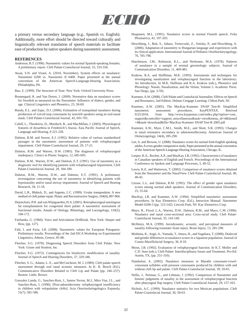

a primary versus secondary language (e.g., Spanish vs. English). Additionally, more effort should be directed toward culturally and linguistically relevant translation of speech materials to facilitate ease of production by native speakers during nasometric assessment.

#### **REFERENCES**

- Anderson, R.T. (1996). Nasometric values for normal Spanish-speaking females; A preliminary report. Cleft Palate-Craniofacial Journal, 33, 333-336.
- Awan, S.N. and Virani, A. (2010, November). System effects on nasalance: Nasometer 6200 vs. Nasometer II 6400. Paper presented at the annual convention of the American Speech-Language-Hearing Association, Philadelphia, PA.
- Bao, Z. (1999). The Structure of Tone. New York: Oxford University Press.
- Brunnegard, K. and Van Doorn, J. (2009). Normative data on nasalance scores for Swedish as measured on the Nasometer: Influence of dialect, gender, and age. Clinical Linguistics and Phonetics, 23, 58-69.
- Bundy, E.L. and Zajac, D.J. (2006). Estimation of transpalatal nasalance during production of voiced stop consonants by noncleft speakers using an oral-nasal mask. Cleft Palate-Craniofacial Journal, 43, 691-701.
- Cahill, L., Theodoros, D., Murdoch, B., and MacMillan, J. (2003). Physiological features of dysarthria in Friedreich's Ataxia. Asia Pacific Journal of Speech, Language and Hearing, 8 221-228.
- Dalston, R.M. and Seaver, E.J. (1992). Relative value of various standardized passages in the nasometric assessment of patients with velopharyngeal impairment. Cleft Palate-Craniofacial Journal, 29, 17-21.
- Dalston, R.M. and Warren, D.W. (1985). The diagnosis of velopharyngeal inadequacy. Clinics in Plastic Surgery, 12, 685-695.
- Dalston, R.M., Warren, D.W., and Dalston, E.T. (1991). Use of nasometry as a diagnostic tool for identifying patients with velopharyngeal impairment. Cleft Palate-Craniofacial Journal, 28, 184-189.
- Dalston, R.M., Warren, D.W., and Dalston, E.T. (1991). A preliminary investigation concerning the use of nasometry in identifying patients with hyponasality and/or nasal airway impairment. Journal of Speech and Hearing Research, 34, 11-18.
- David, L.R., Blalock, D., and Argenta, L.C. (1999). Uvular transposition: A new method of cleft palate repair. Plastic and Reconstructive Surgery, 104(4), 897-904.
- Dejonckere, P.H. and van Wijngaarden, H.A. (2001). Retropharyngeal autologous fat transplantation for congenital short palate: A nasometric assessment of functional results. Annals of Otology, Rhinology, and Laryngology, 110(2), 168-172.
- Fairbanks, G. (1960). Voice and Articulation Drillbook. New York: Harper and Row, (pp. 127).
- Falé, I. and Faria, I.H. (2008). Nasometric values for European Potuguese: Preliminary results. Proceedings of the 2nd ISCA Workshop on Experimental Linguistics, Athens, Greece, 85-88.
- Fletcher, S.G. (1978). Diagnosing Speech Disorders from Cleft Palate. New York: Grune and Stratton, Inc.
- Fletcher, S.G. (1972). Contingencies for bioelectric modification of nasality. Journal of Speech and Hearing Disorders, 37, 329-346.
- Fletcher, S. G., Adams, L. E., and McCutcheon, M. J. (1989). Cleft palate speech assessment through oral nasal acoustic measures. In K. R. Bzoch (Ed.), Communicative Disorders Related to Cleft Lip and Palate (pp. 246–257). Boston: Little, Brown.
- Gonzalez Landa, G., Sanchez-Ruiz, I., Santos Terron, M.J., Miro Viar, J.L., and Sanchez-Ruiz, I. (1990). [Post-adenoidectomy velopharyngeal insufficiency in children with velopalatine clefts]. Acta Otorrinolaringologica Espanola, 51(7), 581-586.
- Haapanen, M.L. (1991). Nasalance scores in normal Finnish speech. Folia Phoniatrica, 43, 197-203.
- Hirschberg, J., Bok, S., Juhasz, Trenovszki, Z., Votisky, P., and Hirschberg, A. (2006). Adaptation of nasometry to Hungarian language and experiences with its clinical application. International Journal of Pediatric Otorhinolaryngology, 70, 785-798.
- Hutchinson, J.M., Robinson, K.L., and Nerbonne, M.A. (1978). Patterns of nasalance in a sample of normal gerontologic subjects. Journal of Communication Disorders, 11, 469-481.
- Krakow, R.A. and Hufffman, M.K. (1993). Instruments and techniques for investigating nasalization and velopharyngeal function in the laboratory: An introduction. In M.K. Huffman and R.A. Krakow (eds.), Phonetics and Phonology: Nasals, Nasalization, and the Velum, Volume 5. Academic Press: San Diego, (pp. 3-59).
- Kummer, A.W. (2008). Cleft Palate and Craniofacial Anomalies: Effects on Speech and Resonance, 2nd Edition. Delmar Cengage Learning: Clifton Park, NJ.
- Kummer, A.W. (2005). The MacKay-Kummer SNAP Test-R: Simplified nasometric assessment procedures. KayPENTAX. Retrived 9/25/2010, from http://www.kaypentax.com/index.php?option=com\_ support&controller=support\_miscellaneous&task=view&menu\_id=4&Itemid =4&task=download&file=MacKay-Kummer SNAP Test-R 2005.pdf
- Kummer, A.W., Myer, C.M.I., Smith, M.E., and Shott, S.R. (1993). Changes in nasal resonance secondary to adenotonsillectomy. American Journal of Otolaryngology, 14(4), 285-290.
- Lee, A. and Browne, U. (2008). Nasalance scores for normal Irish-English speaking adults; A cross-gender comparative study. Paper presented at the annual convention of the American Speech-Language-Hearing Association, Chicago, IL.
- Leeper, H.A., Rochet, A.P., and MacKay, I.R. (1992). Characteristics of nasalance in Canadian speakers of English and French. Proceedings of the International Conference on Spoken and Language Processes, 5, 49-52.
- Lewis, K.E. and Watterson, T. (2003). Comparison of nasalance scores obtained from the Nasometer and the NasalView. Cleft Palate-Craniofacial Journal, 40, 40-45.
- Litzaw, L.L. and Dalston, R.M. (1992). The effect of gender upon nasalance scores among normal adult speakers. Journal of Communication Disorders, 25, 55-64.
- MacKay, I.R. and Kummer, A.W. (1994). Simplified nasometric assessment procedures. In Kay Elemetrics Corp. (Ed.), Intruction Manual: Nasometer Model 6200-3 (pp. 123-142). Lincoln Park, NJ: Kay Elemetrics Corp.
- Mayo, R., Floyd, L.A., Warren, D.W., Dalston, R.M., and Mayo, C.M. (1996). Nasalance and nasal cross-sectional area: Cross-racial study. Cleft Palate-Craniofacial Journal, 33, 143-149.
- McHenry, M.A. (1999). Aerodynamic, acoustic, and perceptual measures of nasality following traumatic brain injury. Brain Injury, 13, 281-290.
- Mishima, K., Sugii, A., Yamada, T., Imura, H., and Sugahara, T. (2008). Dialectal and gender differences in nasalance scores in a Japanese population. Journal of Cranio-Maxillofacial Surgery, 36, 8-10.
- Moon, J.B. (1992). Evaluation of velopharyngeal function. In K.T. Moller and C.D. Starr (eds.), Cleft Palate: Interdisciplinary Issues and Treatment. Pro-Ed: Austin, TX, (pp. 251-310).
- Nandurkar, A. (2002). Nasalance measures in Marathi consonant-vowelconsonant syllables with pressure consonants produced by children with and without cleft lip and palate. Cleft Palate-Craniofacial Journal, 39, 59-65.
- Nellis, J., Neiman, G., and Lehman, J. (1992). Comparison of Nasometer and listener judgments of nasality in the assessment of velopharyngeal function after pharyngeal flap surgery. Cleft Palate Craniofacial Journal, 29, 157-163.
- Nichols, A.C. (1999). Nasalance statistics for two Mexican populations. Cleft Palate-Craniofacial Journal, 36, 58-63.